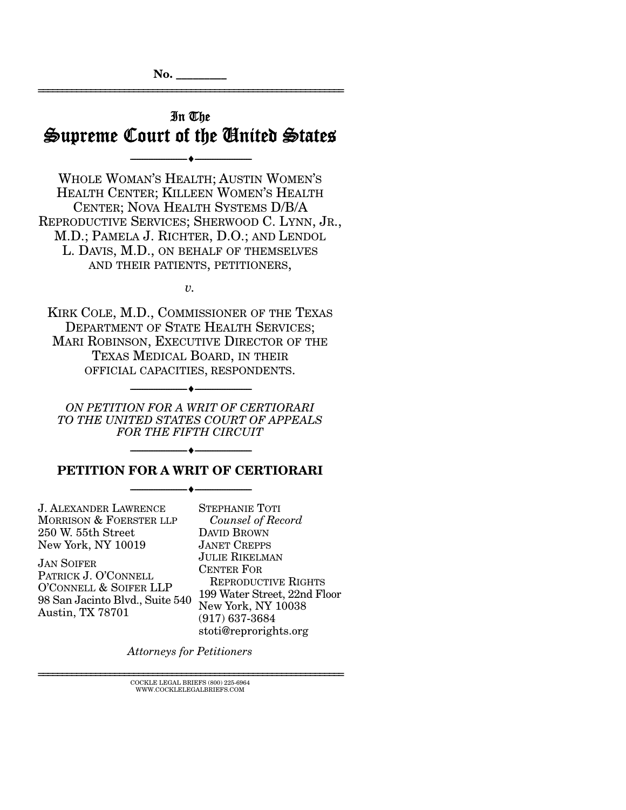# In The Supreme Court of the United States

--------------------------------- ---------------------------------

================================================================

WHOLE WOMAN'S HEALTH; AUSTIN WOMEN'S HEALTH CENTER; KILLEEN WOMEN'S HEALTH CENTER; NOVA HEALTH SYSTEMS D/B/A REPRODUCTIVE SERVICES; SHERWOOD C. LYNN, JR., M.D.; PAMELA J. RICHTER, D.O.; AND LENDOL L. DAVIS, M.D., ON BEHALF OF THEMSELVES AND THEIR PATIENTS, PETITIONERS,

*v.* 

KIRK COLE, M.D., COMMISSIONER OF THE TEXAS DEPARTMENT OF STATE HEALTH SERVICES: MARI ROBINSON, EXECUTIVE DIRECTOR OF THE TEXAS MEDICAL BOARD, IN THEIR OFFICIAL CAPACITIES, RESPONDENTS.

*ON PETITION FOR A WRIT OF CERTIORARI TO THE UNITED STATES COURT OF APPEALS FOR THE FIFTH CIRCUIT* 

--------------------------------- ---------------------------------

## **PETITION FOR A WRIT OF CERTIORARI**  --------------------------------- ---------------------------------

--------------------------------- ---------------------------------

J. ALEXANDER LAWRENCE MORRISON & FOERSTER LLP 250 W. 55th Street New York, NY 10019

JAN SOIFER PATRICK J. O'CONNELL O'CONNELL & SOIFER LLP 98 San Jacinto Blvd., Suite 540 Austin, TX 78701

STEPHANIE TOTI  *Counsel of Record* DAVID BROWN JANET CREPPS JULIE RIKELMAN CENTER FOR REPRODUCTIVE RIGHTS 199 Water Street, 22nd Floor New York, NY 10038 (917) 637-3684 stoti@reprorights.org

*Attorneys for Petitioners* 

 ${\rm COCKLE}$ LEGAL BRIEFS $(800)$  225-6964 WWW.COCKLELEGALBRIEFS.COM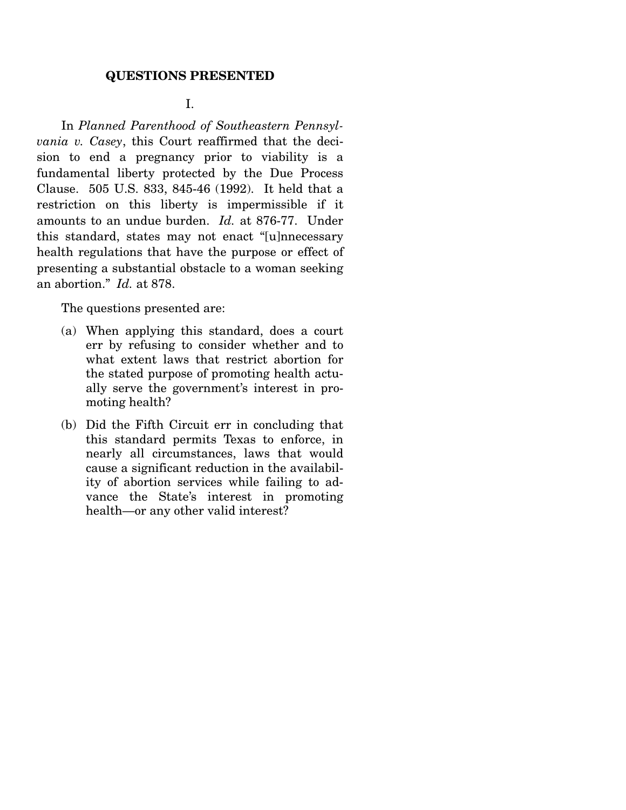#### **QUESTIONS PRESENTED**

### I.

 In *Planned Parenthood of Southeastern Pennsylvania v. Casey*, this Court reaffirmed that the decision to end a pregnancy prior to viability is a fundamental liberty protected by the Due Process Clause. 505 U.S. 833, 845-46 (1992). It held that a restriction on this liberty is impermissible if it amounts to an undue burden. *Id.* at 876-77. Under this standard, states may not enact "[u]nnecessary health regulations that have the purpose or effect of presenting a substantial obstacle to a woman seeking an abortion." *Id.* at 878.

The questions presented are:

- (a) When applying this standard, does a court err by refusing to consider whether and to what extent laws that restrict abortion for the stated purpose of promoting health actually serve the government's interest in promoting health?
- (b) Did the Fifth Circuit err in concluding that this standard permits Texas to enforce, in nearly all circumstances, laws that would cause a significant reduction in the availability of abortion services while failing to advance the State's interest in promoting health—or any other valid interest?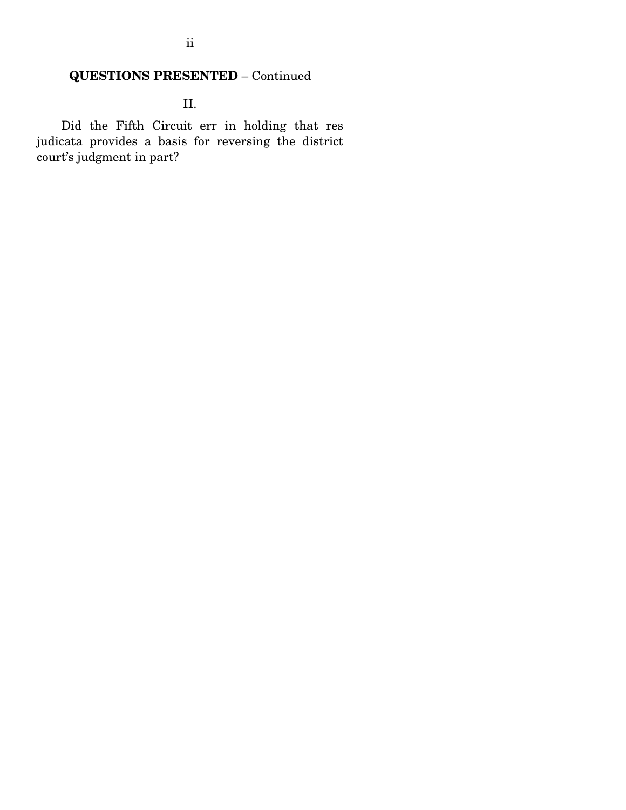# **QUESTIONS PRESENTED** – Continued

II.

 Did the Fifth Circuit err in holding that res judicata provides a basis for reversing the district court's judgment in part?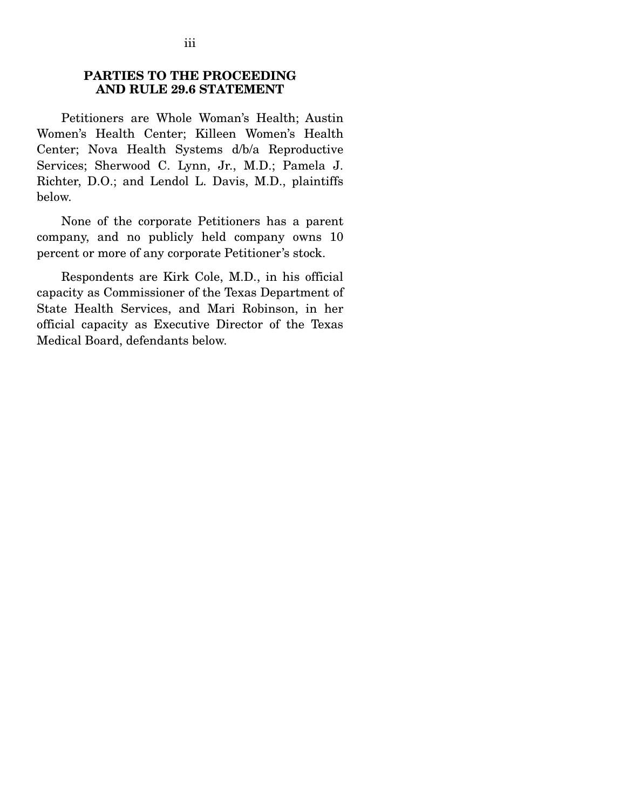### **PARTIES TO THE PROCEEDING AND RULE 29.6 STATEMENT**

 Petitioners are Whole Woman's Health; Austin Women's Health Center; Killeen Women's Health Center; Nova Health Systems d/b/a Reproductive Services; Sherwood C. Lynn, Jr., M.D.; Pamela J. Richter, D.O.; and Lendol L. Davis, M.D., plaintiffs below.

 None of the corporate Petitioners has a parent company, and no publicly held company owns 10 percent or more of any corporate Petitioner's stock.

 Respondents are Kirk Cole, M.D., in his official capacity as Commissioner of the Texas Department of State Health Services, and Mari Robinson, in her official capacity as Executive Director of the Texas Medical Board, defendants below.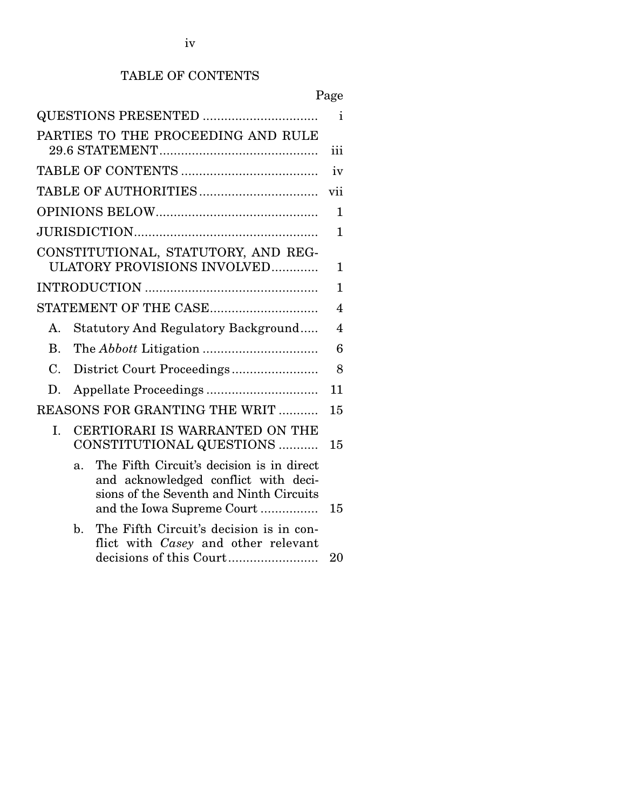# TABLE OF CONTENTS

|                                                                                                                                                                              | Page         |
|------------------------------------------------------------------------------------------------------------------------------------------------------------------------------|--------------|
|                                                                                                                                                                              | Ť            |
| PARTIES TO THE PROCEEDING AND RULE                                                                                                                                           | iii          |
|                                                                                                                                                                              | iv           |
|                                                                                                                                                                              | vii          |
|                                                                                                                                                                              | $\mathbf{1}$ |
|                                                                                                                                                                              | $\mathbf{1}$ |
| CONSTITUTIONAL, STATUTORY, AND REG-<br><b>ULATORY PROVISIONS INVOLVED</b>                                                                                                    | 1            |
|                                                                                                                                                                              | 1            |
|                                                                                                                                                                              | 4            |
| <b>Statutory And Regulatory Background</b><br>$\mathsf{A}$ .                                                                                                                 | 4            |
| <b>B.</b>                                                                                                                                                                    | 6            |
| District Court Proceedings<br>$C_{\cdot}$                                                                                                                                    | 8            |
| D.                                                                                                                                                                           | 11           |
| REASONS FOR GRANTING THE WRIT<br>15                                                                                                                                          |              |
| CERTIORARI IS WARRANTED ON THE<br>L.<br>CONSTITUTIONAL QUESTIONS                                                                                                             | 15           |
| The Fifth Circuit's decision is in direct<br>$\mathbf{a}$ .<br>and acknowledged conflict with deci-<br>sions of the Seventh and Ninth Circuits<br>and the Iowa Supreme Court | 15           |
| The Fifth Circuit's decision is in con-<br>$\mathbf{b}$ .<br>flict with <i>Casey</i> and other relevant                                                                      | 20           |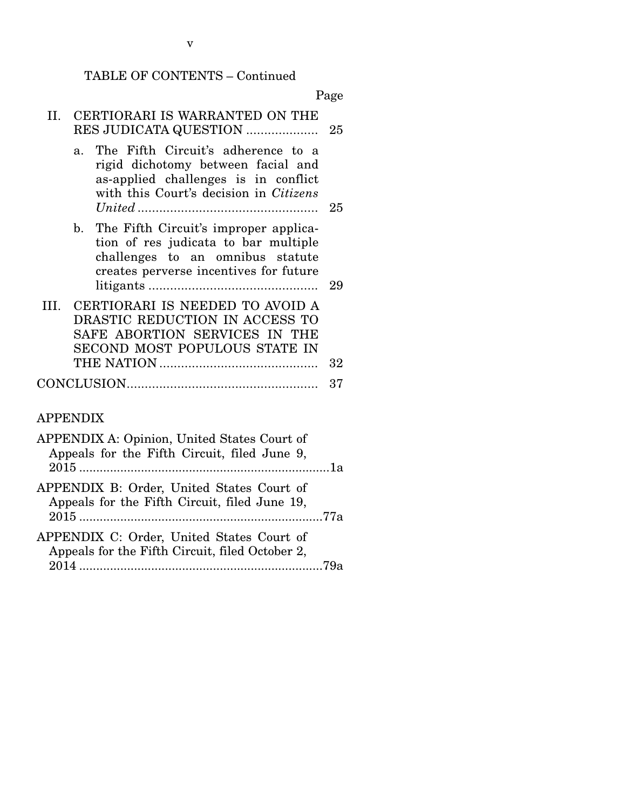# TABLE OF CONTENTS – Continued

|     |                                                                                                                                                                                     | Page |
|-----|-------------------------------------------------------------------------------------------------------------------------------------------------------------------------------------|------|
| II. | CERTIORARI IS WARRANTED ON THE<br>RES JUDICATA QUESTION                                                                                                                             | 25   |
|     | The Fifth Circuit's adherence to a<br>$\mathbf{a}$ .<br>rigid dichotomy between facial and<br>as-applied challenges is in conflict<br>with this Court's decision in <i>Citizens</i> | 25   |
|     | b. The Fifth Circuit's improper applica-<br>tion of res judicata to bar multiple<br>challenges to an omnibus statute<br>creates perverse incentives for future                      | 29   |
|     | III. CERTIORARI IS NEEDED TO AVOID A<br>DRASTIC REDUCTION IN ACCESS TO<br>SAFE ABORTION SERVICES IN THE<br>SECOND MOST POPULOUS STATE IN                                            | 32   |
|     |                                                                                                                                                                                     | 37   |

# APPENDIX

| APPENDIX A: Opinion, United States Court of<br>Appeals for the Fifth Circuit, filed June 9,  |  |
|----------------------------------------------------------------------------------------------|--|
| APPENDIX B: Order, United States Court of<br>Appeals for the Fifth Circuit, filed June 19,   |  |
| APPENDIX C: Order, United States Court of<br>Appeals for the Fifth Circuit, filed October 2, |  |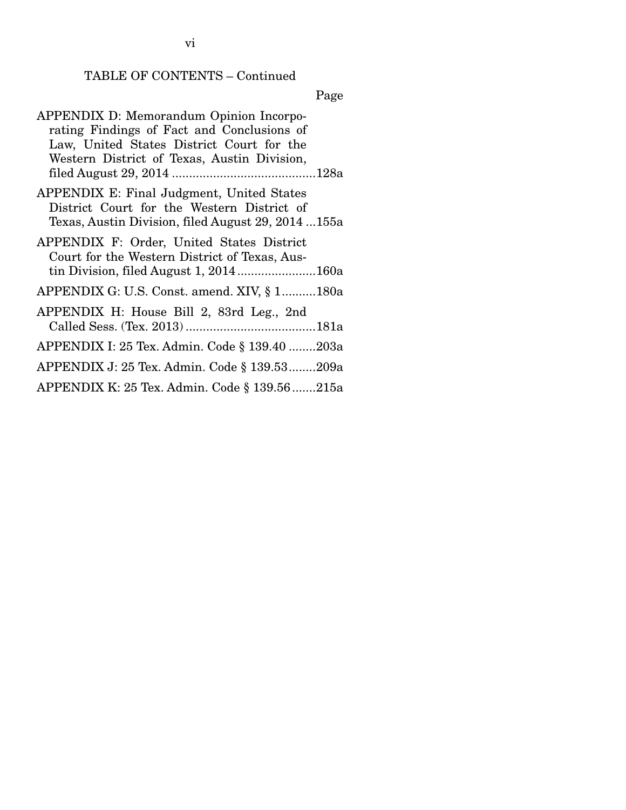# TABLE OF CONTENTS – Continued

# Page

| <b>APPENDIX D: Memorandum Opinion Incorpo-</b>     |
|----------------------------------------------------|
| rating Findings of Fact and Conclusions of         |
| Law, United States District Court for the          |
| Western District of Texas, Austin Division,        |
|                                                    |
| APPENDIX E: Final Judgment, United States          |
| District Court for the Western District of         |
| Texas, Austin Division, filed August 29, 2014 155a |
| APPENDIX F: Order, United States District          |
| Court for the Western District of Texas, Aus-      |
|                                                    |
| APPENDIX G: U.S. Const. amend. XIV, § 1180a        |
| APPENDIX H: House Bill 2, 83rd Leg., 2nd           |
|                                                    |
| APPENDIX I: 25 Tex. Admin. Code § 139.40 203a      |
| APPENDIX J: 25 Tex. Admin. Code § 139.53209a       |
| APPENDIX K: 25 Tex. Admin. Code § 139.56 215a      |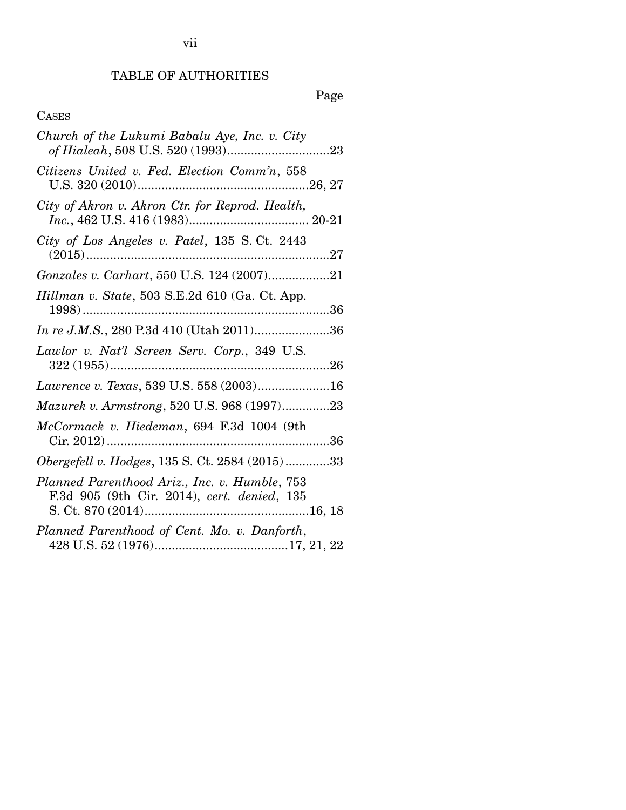TABLE OF AUTHORITIES

# Page

# CASES

| Church of the Lukumi Babalu Aye, Inc. v. City                                                |
|----------------------------------------------------------------------------------------------|
| Citizens United v. Fed. Election Comm'n, 558                                                 |
| City of Akron v. Akron Ctr. for Reprod. Health,                                              |
| City of Los Angeles v. Patel, 135 S.Ct. 2443                                                 |
|                                                                                              |
| Hillman v. State, 503 S.E.2d 610 (Ga. Ct. App.                                               |
|                                                                                              |
| Lawlor v. Nat'l Screen Serv. Corp., 349 U.S.                                                 |
| Lawrence v. Texas, 539 U.S. 558 (2003)16                                                     |
| Mazurek v. Armstrong, 520 U.S. 968 (1997)23                                                  |
| McCormack v. Hiedeman, 694 F.3d 1004 (9th                                                    |
| Obergefell v. Hodges, 135 S. Ct. 2584 (2015)33                                               |
| Planned Parenthood Ariz., Inc. v. Humble, 753<br>F.3d 905 (9th Cir. 2014), cert. denied, 135 |
| Planned Parenthood of Cent. Mo. v. Danforth,                                                 |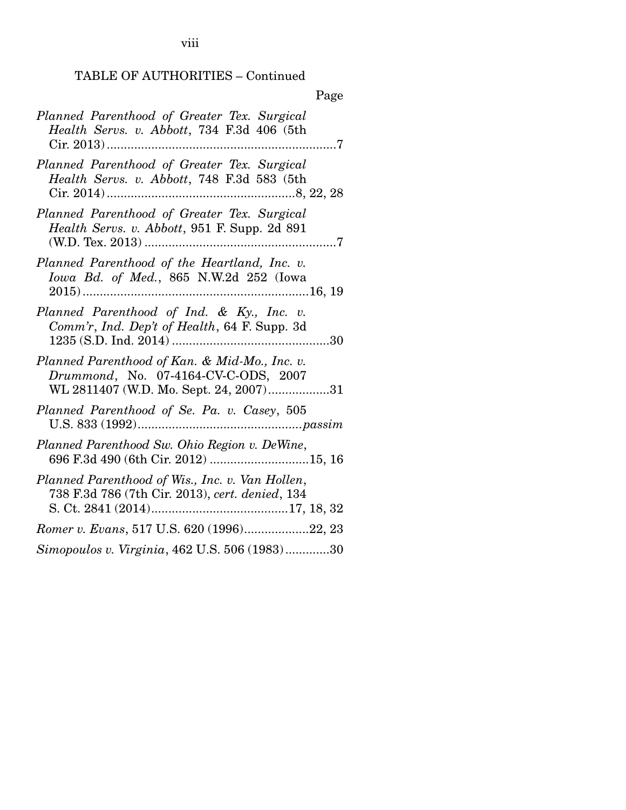viii

## TABLE OF AUTHORITIES – Continued

| Page                                                                                                                            |
|---------------------------------------------------------------------------------------------------------------------------------|
| Planned Parenthood of Greater Tex. Surgical<br>Health Servs. v. Abbott, 734 F.3d 406 (5th                                       |
| Planned Parenthood of Greater Tex. Surgical<br>Health Servs. v. Abbott, 748 F.3d 583 (5th                                       |
| Planned Parenthood of Greater Tex. Surgical<br>Health Servs. v. Abbott, 951 F. Supp. 2d 891                                     |
| Planned Parenthood of the Heartland, Inc. v.<br><i>Iowa Bd. of Med.</i> , 865 N.W.2d 252 (Iowa<br>$2015)$<br>.<br>16, 19        |
| Planned Parenthood of Ind. & Ky., Inc. v.<br>Comm'r, Ind. Dep't of Health, 64 F. Supp. 3d                                       |
| Planned Parenthood of Kan. & Mid-Mo., Inc. v.<br>Drummond, No. 07-4164-CV-C-ODS, 2007<br>WL 2811407 (W.D. Mo. Sept. 24, 2007)31 |
| Planned Parenthood of Se. Pa. v. Casey, 505                                                                                     |
| Planned Parenthood Sw. Ohio Region v. DeWine,<br>696 F.3d 490 (6th Cir. 2012) 15, 16                                            |
| Planned Parenthood of Wis., Inc. v. Van Hollen,<br>738 F.3d 786 (7th Cir. 2013), cert. denied, 134                              |
| Romer v. Evans, 517 U.S. 620 (1996)22, 23                                                                                       |
| Simopoulos v. Virginia, 462 U.S. 506 (1983)30                                                                                   |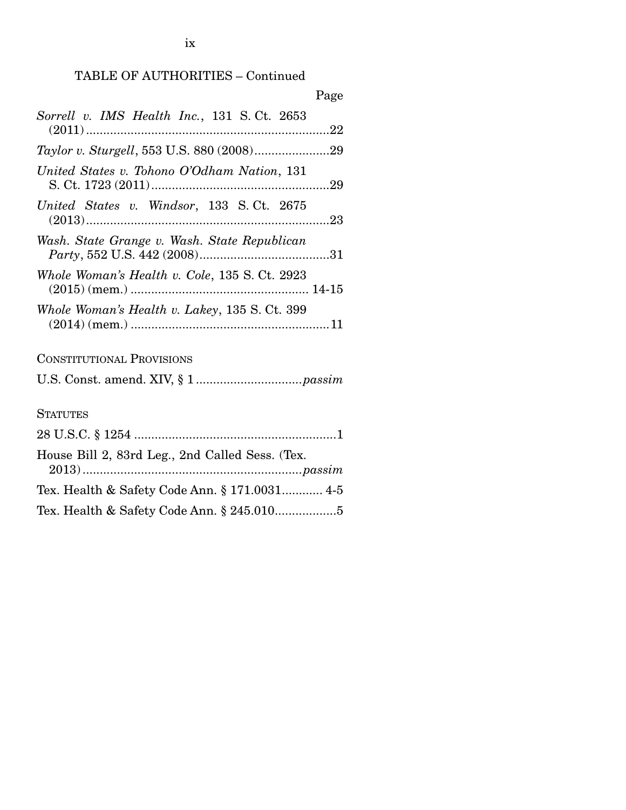## TABLE OF AUTHORITIES – Continued

| Page                                            |
|-------------------------------------------------|
| Sorrell v. IMS Health Inc., 131 S.Ct. 2653      |
| Taylor v. Sturgell, 553 U.S. 880 (2008)29       |
| United States v. Tohono O'Odham Nation, 131     |
| United States v. Windsor, 133 S.Ct. 2675        |
| Wash. State Grange v. Wash. State Republican    |
| Whole Woman's Health v. Cole, 135 S. Ct. 2923   |
| Whole Woman's Health v. Lakey, 135 S. Ct. 399   |
| <b>CONSTITUTIONAL PROVISIONS</b>                |
|                                                 |
| <b>STATUTES</b>                                 |
|                                                 |
| House Bill 2, 83rd Leg., 2nd Called Sess. (Tex. |
| Tex. Health & Safety Code Ann. § 171.0031 4-5   |

Tex. Health & Safety Code Ann. § 245.010...................5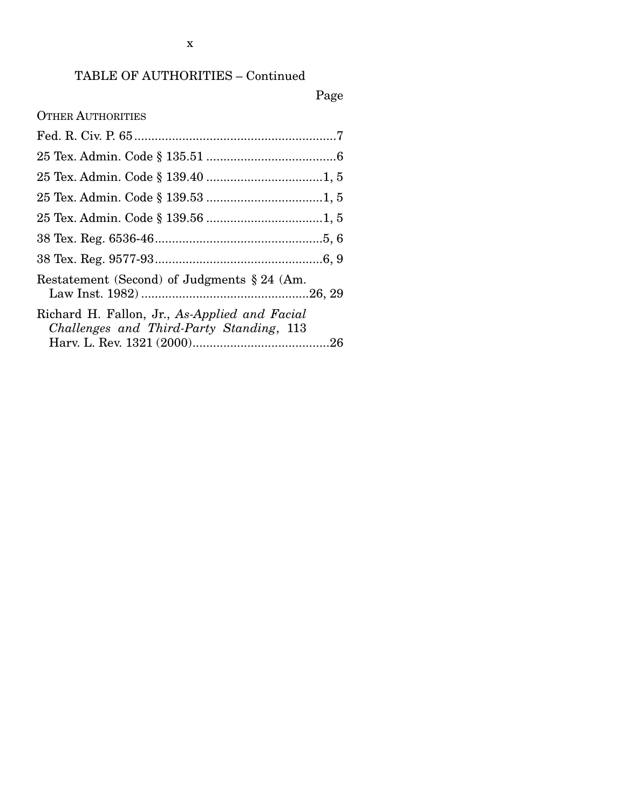## TABLE OF AUTHORITIES – Continued

# Page

OTHER AUTHORITIES

| Restatement (Second) of Judgments $\S 24$ (Am.                                            |  |
|-------------------------------------------------------------------------------------------|--|
| Richard H. Fallon, Jr., As-Applied and Facial<br>Challenges and Third-Party Standing, 113 |  |
|                                                                                           |  |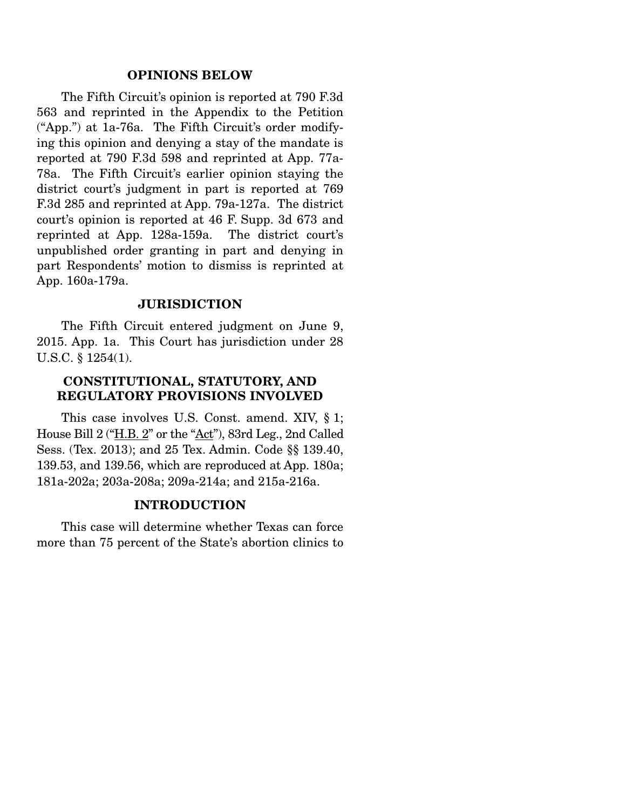#### **OPINIONS BELOW**

 The Fifth Circuit's opinion is reported at 790 F.3d 563 and reprinted in the Appendix to the Petition ("App.") at 1a-76a. The Fifth Circuit's order modifying this opinion and denying a stay of the mandate is reported at 790 F.3d 598 and reprinted at App. 77a-78a. The Fifth Circuit's earlier opinion staying the district court's judgment in part is reported at 769 F.3d 285 and reprinted at App. 79a-127a. The district court's opinion is reported at 46 F. Supp. 3d 673 and reprinted at App. 128a-159a. The district court's unpublished order granting in part and denying in part Respondents' motion to dismiss is reprinted at App. 160a-179a.

#### **JURISDICTION**

 The Fifth Circuit entered judgment on June 9, 2015. App. 1a. This Court has jurisdiction under 28 U.S.C. § 1254(1).

### **CONSTITUTIONAL, STATUTORY, AND REGULATORY PROVISIONS INVOLVED**

 This case involves U.S. Const. amend. XIV, § 1; House Bill 2 ("H.B. 2" or the "Act"), 83rd Leg., 2nd Called Sess. (Tex. 2013); and 25 Tex. Admin. Code §§ 139.40, 139.53, and 139.56, which are reproduced at App. 180a; 181a-202a; 203a-208a; 209a-214a; and 215a-216a.

#### **INTRODUCTION**

 This case will determine whether Texas can force more than 75 percent of the State's abortion clinics to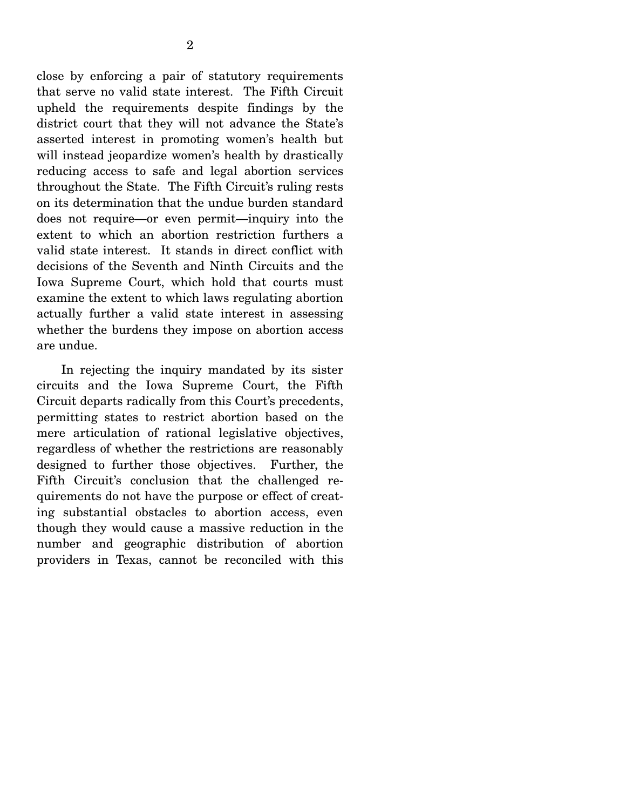close by enforcing a pair of statutory requirements that serve no valid state interest. The Fifth Circuit upheld the requirements despite findings by the district court that they will not advance the State's asserted interest in promoting women's health but will instead jeopardize women's health by drastically reducing access to safe and legal abortion services throughout the State. The Fifth Circuit's ruling rests on its determination that the undue burden standard does not require—or even permit—inquiry into the extent to which an abortion restriction furthers a valid state interest. It stands in direct conflict with decisions of the Seventh and Ninth Circuits and the Iowa Supreme Court, which hold that courts must examine the extent to which laws regulating abortion actually further a valid state interest in assessing whether the burdens they impose on abortion access are undue.

 In rejecting the inquiry mandated by its sister circuits and the Iowa Supreme Court, the Fifth Circuit departs radically from this Court's precedents, permitting states to restrict abortion based on the mere articulation of rational legislative objectives, regardless of whether the restrictions are reasonably designed to further those objectives. Further, the Fifth Circuit's conclusion that the challenged requirements do not have the purpose or effect of creating substantial obstacles to abortion access, even though they would cause a massive reduction in the number and geographic distribution of abortion providers in Texas, cannot be reconciled with this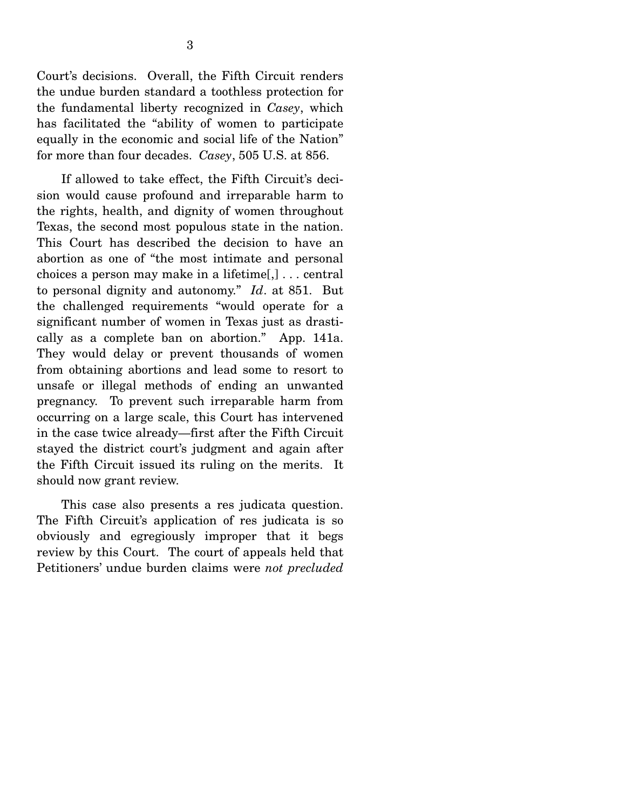Court's decisions. Overall, the Fifth Circuit renders the undue burden standard a toothless protection for the fundamental liberty recognized in *Casey*, which has facilitated the "ability of women to participate equally in the economic and social life of the Nation" for more than four decades. *Casey*, 505 U.S. at 856.

 If allowed to take effect, the Fifth Circuit's decision would cause profound and irreparable harm to the rights, health, and dignity of women throughout Texas, the second most populous state in the nation. This Court has described the decision to have an abortion as one of "the most intimate and personal choices a person may make in a lifetime[,] . . . central to personal dignity and autonomy." *Id*. at 851. But the challenged requirements "would operate for a significant number of women in Texas just as drastically as a complete ban on abortion." App. 141a. They would delay or prevent thousands of women from obtaining abortions and lead some to resort to unsafe or illegal methods of ending an unwanted pregnancy. To prevent such irreparable harm from occurring on a large scale, this Court has intervened in the case twice already—first after the Fifth Circuit stayed the district court's judgment and again after the Fifth Circuit issued its ruling on the merits. It should now grant review.

 This case also presents a res judicata question. The Fifth Circuit's application of res judicata is so obviously and egregiously improper that it begs review by this Court. The court of appeals held that Petitioners' undue burden claims were *not precluded*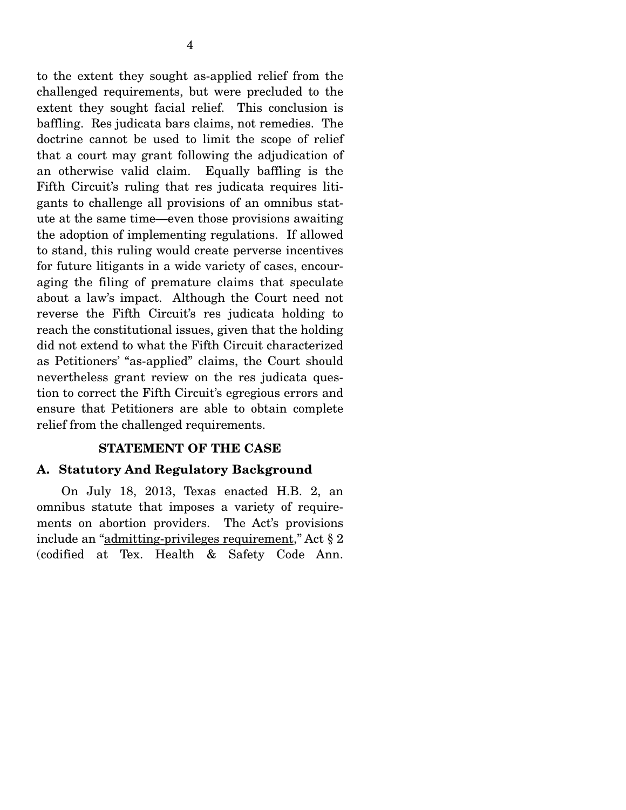to the extent they sought as-applied relief from the challenged requirements, but were precluded to the extent they sought facial relief. This conclusion is baffling. Res judicata bars claims, not remedies. The doctrine cannot be used to limit the scope of relief that a court may grant following the adjudication of an otherwise valid claim. Equally baffling is the Fifth Circuit's ruling that res judicata requires litigants to challenge all provisions of an omnibus statute at the same time—even those provisions awaiting the adoption of implementing regulations. If allowed to stand, this ruling would create perverse incentives for future litigants in a wide variety of cases, encouraging the filing of premature claims that speculate about a law's impact. Although the Court need not reverse the Fifth Circuit's res judicata holding to reach the constitutional issues, given that the holding did not extend to what the Fifth Circuit characterized

as Petitioners' "as-applied" claims, the Court should nevertheless grant review on the res judicata question to correct the Fifth Circuit's egregious errors and ensure that Petitioners are able to obtain complete relief from the challenged requirements.

### **STATEMENT OF THE CASE**

## **A. Statutory And Regulatory Background**

 On July 18, 2013, Texas enacted H.B. 2, an omnibus statute that imposes a variety of requirements on abortion providers. The Act's provisions include an "admitting-privileges requirement," Act § 2 (codified at Tex. Health & Safety Code Ann.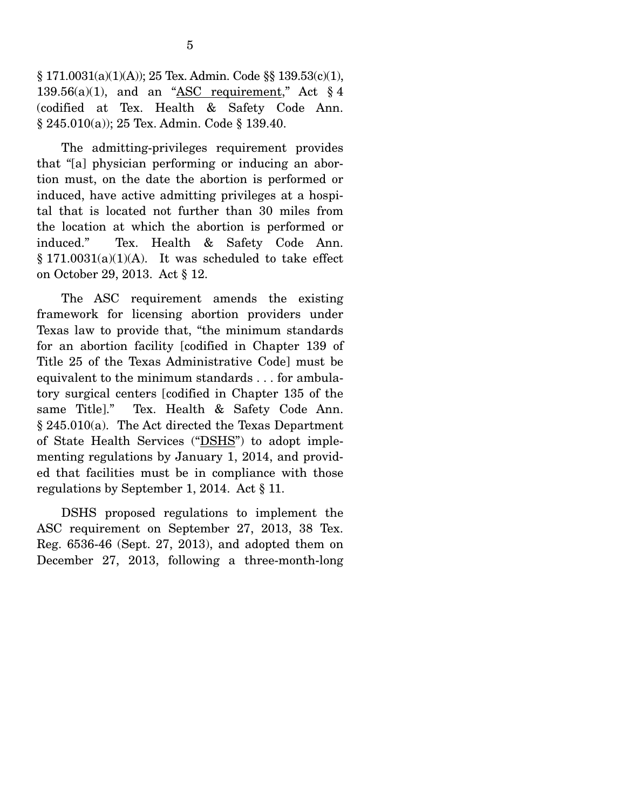$\S 171.0031(a)(1)(A))$ ; 25 Tex. Admin. Code  $\S 139.53(c)(1)$ , 139.56(a)(1), and an "ASC requirement," Act  $\S 4$ (codified at Tex. Health & Safety Code Ann. § 245.010(a)); 25 Tex. Admin. Code § 139.40.

 The admitting-privileges requirement provides that "[a] physician performing or inducing an abortion must, on the date the abortion is performed or induced, have active admitting privileges at a hospital that is located not further than 30 miles from the location at which the abortion is performed or induced." Tex. Health & Safety Code Ann.  $§ 171.0031(a)(1)(A)$ . It was scheduled to take effect on October 29, 2013. Act § 12.

 The ASC requirement amends the existing framework for licensing abortion providers under Texas law to provide that, "the minimum standards for an abortion facility [codified in Chapter 139 of Title 25 of the Texas Administrative Code] must be equivalent to the minimum standards . . . for ambulatory surgical centers [codified in Chapter 135 of the same Title]." Tex. Health & Safety Code Ann. § 245.010(a). The Act directed the Texas Department of State Health Services ("DSHS") to adopt implementing regulations by January 1, 2014, and provided that facilities must be in compliance with those regulations by September 1, 2014. Act § 11.

 DSHS proposed regulations to implement the ASC requirement on September 27, 2013, 38 Tex. Reg. 6536-46 (Sept. 27, 2013), and adopted them on December 27, 2013, following a three-month-long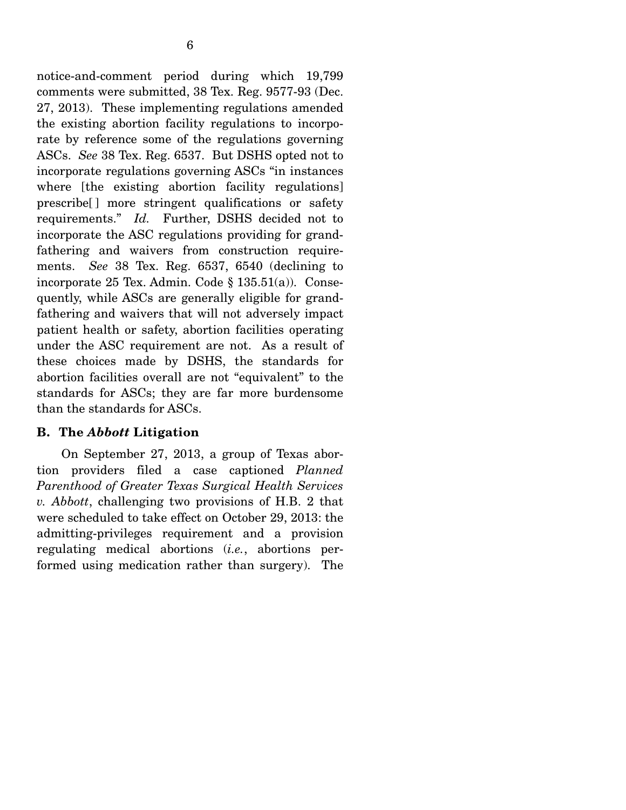6

comments were submitted, 38 Tex. Reg. 9577-93 (Dec. 27, 2013). These implementing regulations amended the existing abortion facility regulations to incorporate by reference some of the regulations governing ASCs. *See* 38 Tex. Reg. 6537. But DSHS opted not to incorporate regulations governing ASCs "in instances where [the existing abortion facility regulations] prescribe[ ] more stringent qualifications or safety requirements." *Id.* Further, DSHS decided not to incorporate the ASC regulations providing for grandfathering and waivers from construction requirements. *See* 38 Tex. Reg. 6537, 6540 (declining to incorporate 25 Tex. Admin. Code § 135.51(a)). Consequently, while ASCs are generally eligible for grandfathering and waivers that will not adversely impact patient health or safety, abortion facilities operating under the ASC requirement are not. As a result of these choices made by DSHS, the standards for abortion facilities overall are not "equivalent" to the standards for ASCs; they are far more burdensome than the standards for ASCs.

## **B. The** *Abbott* **Litigation**

 On September 27, 2013, a group of Texas abortion providers filed a case captioned *Planned Parenthood of Greater Texas Surgical Health Services v. Abbott*, challenging two provisions of H.B. 2 that were scheduled to take effect on October 29, 2013: the admitting-privileges requirement and a provision regulating medical abortions (*i.e.*, abortions performed using medication rather than surgery). The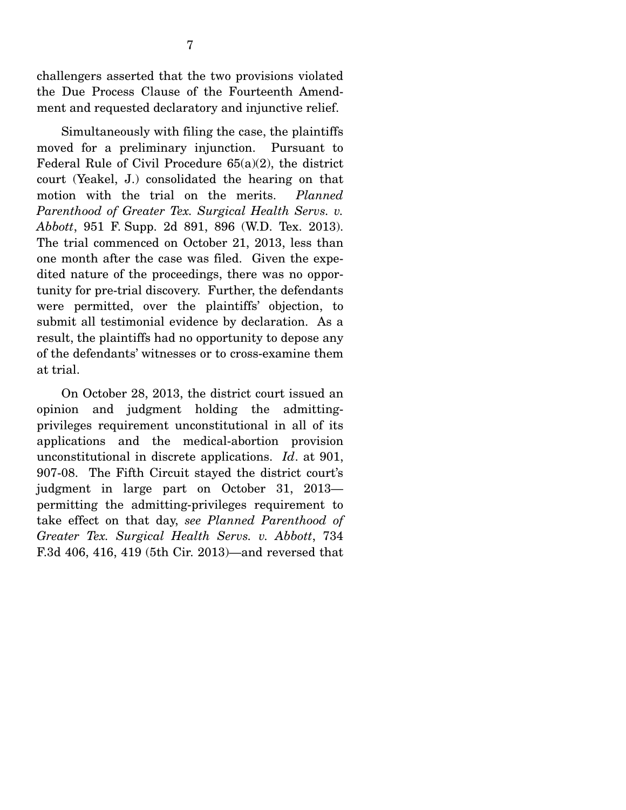challengers asserted that the two provisions violated the Due Process Clause of the Fourteenth Amendment and requested declaratory and injunctive relief.

 Simultaneously with filing the case, the plaintiffs moved for a preliminary injunction. Pursuant to Federal Rule of Civil Procedure 65(a)(2), the district court (Yeakel, J.) consolidated the hearing on that motion with the trial on the merits. *Planned*  Parenthood of Greater Tex. Surgical Health Servs. v. *Abbott*, 951 F. Supp. 2d 891, 896 (W.D. Tex. 2013). The trial commenced on October 21, 2013, less than one month after the case was filed. Given the expedited nature of the proceedings, there was no opportunity for pre-trial discovery. Further, the defendants were permitted, over the plaintiffs' objection, to submit all testimonial evidence by declaration. As a result, the plaintiffs had no opportunity to depose any of the defendants' witnesses or to cross-examine them at trial.

 On October 28, 2013, the district court issued an opinion and judgment holding the admittingprivileges requirement unconstitutional in all of its applications and the medical-abortion provision unconstitutional in discrete applications. *Id*. at 901, 907-08. The Fifth Circuit stayed the district court's judgment in large part on October 31, 2013 permitting the admitting-privileges requirement to take effect on that day, *see Planned Parenthood of Greater Tex. Surgical Health Servs. v. Abbott*, 734 F.3d 406, 416, 419 (5th Cir. 2013)—and reversed that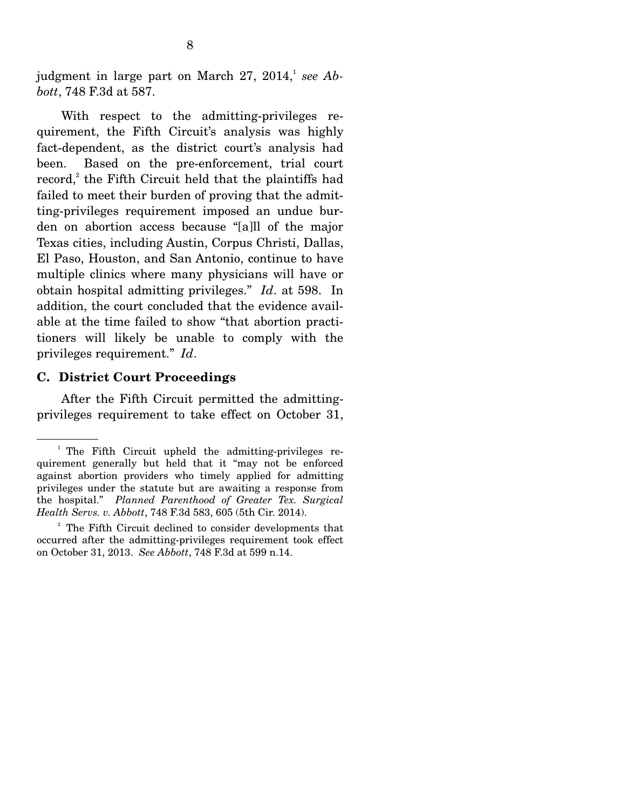judgment in large part on March  $27, 2014$ ,<sup>1</sup> see Ab*bott*, 748 F.3d at 587.

 With respect to the admitting-privileges requirement, the Fifth Circuit's analysis was highly fact-dependent, as the district court's analysis had been. Based on the pre-enforcement, trial court record,<sup>2</sup> the Fifth Circuit held that the plaintiffs had failed to meet their burden of proving that the admitting-privileges requirement imposed an undue burden on abortion access because "[a]ll of the major Texas cities, including Austin, Corpus Christi, Dallas, El Paso, Houston, and San Antonio, continue to have multiple clinics where many physicians will have or obtain hospital admitting privileges." *Id*. at 598. In addition, the court concluded that the evidence available at the time failed to show "that abortion practitioners will likely be unable to comply with the privileges requirement." *Id*.

### **C. District Court Proceedings**

 After the Fifth Circuit permitted the admittingprivileges requirement to take effect on October 31,

<sup>&</sup>lt;sup>1</sup> The Fifth Circuit upheld the admitting-privileges requirement generally but held that it "may not be enforced against abortion providers who timely applied for admitting privileges under the statute but are awaiting a response from the hospital." *Planned Parenthood of Greater Tex. Surgical Health Servs. v. Abbott*, 748 F.3d 583, 605 (5th Cir. 2014).

<sup>&</sup>lt;sup>2</sup> The Fifth Circuit declined to consider developments that occurred after the admitting-privileges requirement took effect on October 31, 2013. *See Abbott*, 748 F.3d at 599 n.14.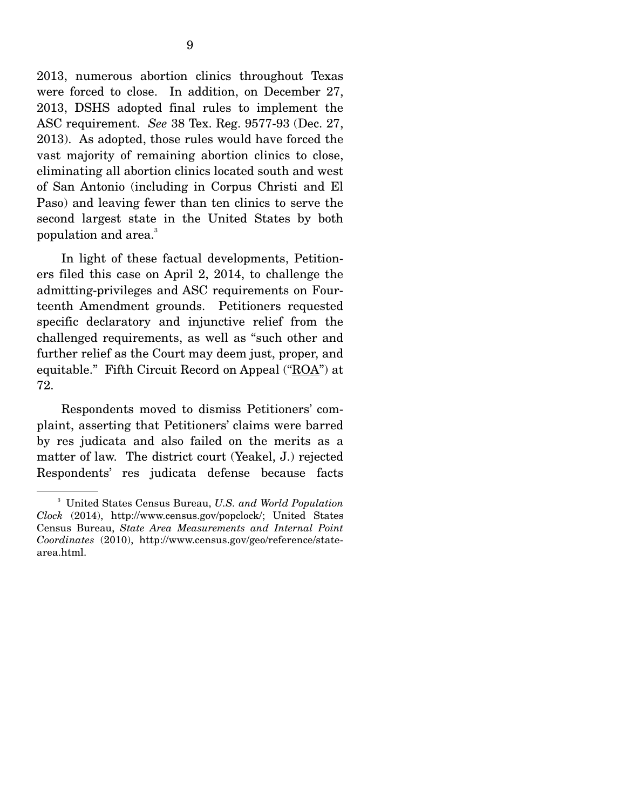2013, numerous abortion clinics throughout Texas were forced to close. In addition, on December 27, 2013, DSHS adopted final rules to implement the ASC requirement. *See* 38 Tex. Reg. 9577-93 (Dec. 27, 2013). As adopted, those rules would have forced the vast majority of remaining abortion clinics to close, eliminating all abortion clinics located south and west of San Antonio (including in Corpus Christi and El Paso) and leaving fewer than ten clinics to serve the second largest state in the United States by both population and area.<sup>3</sup>

 In light of these factual developments, Petitioners filed this case on April 2, 2014, to challenge the admitting-privileges and ASC requirements on Fourteenth Amendment grounds. Petitioners requested specific declaratory and injunctive relief from the challenged requirements, as well as "such other and further relief as the Court may deem just, proper, and equitable." Fifth Circuit Record on Appeal  $(\mathbf{C}\otimes\mathbf{A})$  at 72.

 Respondents moved to dismiss Petitioners' complaint, asserting that Petitioners' claims were barred by res judicata and also failed on the merits as a matter of law. The district court (Yeakel, J.) rejected Respondents' res judicata defense because facts

<sup>3</sup> United States Census Bureau, *U.S. and World Population Clock* (2014), http://www.census.gov/popclock/; United States Census Bureau, *State Area Measurements and Internal Point Coordinates* (2010), http://www.census.gov/geo/reference/statearea.html.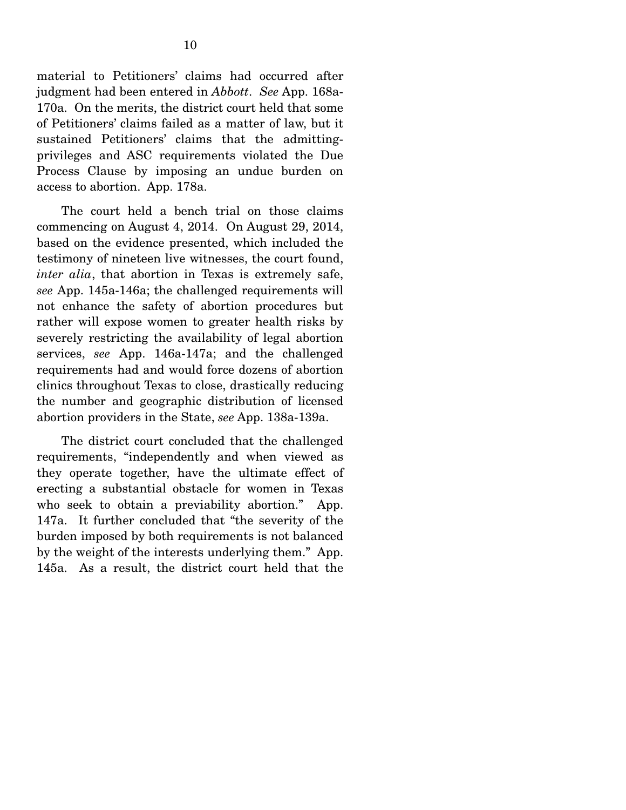material to Petitioners' claims had occurred after judgment had been entered in *Abbott*. *See* App. 168a-170a. On the merits, the district court held that some of Petitioners' claims failed as a matter of law, but it sustained Petitioners' claims that the admittingprivileges and ASC requirements violated the Due Process Clause by imposing an undue burden on access to abortion. App. 178a.

 The court held a bench trial on those claims commencing on August 4, 2014. On August 29, 2014, based on the evidence presented, which included the testimony of nineteen live witnesses, the court found, *inter alia*, that abortion in Texas is extremely safe, *see* App. 145a-146a; the challenged requirements will not enhance the safety of abortion procedures but rather will expose women to greater health risks by severely restricting the availability of legal abortion services, *see* App. 146a-147a; and the challenged requirements had and would force dozens of abortion clinics throughout Texas to close, drastically reducing the number and geographic distribution of licensed abortion providers in the State, *see* App. 138a-139a.

 The district court concluded that the challenged requirements, "independently and when viewed as they operate together, have the ultimate effect of erecting a substantial obstacle for women in Texas who seek to obtain a previability abortion." App. 147a. It further concluded that "the severity of the burden imposed by both requirements is not balanced by the weight of the interests underlying them." App. 145a. As a result, the district court held that the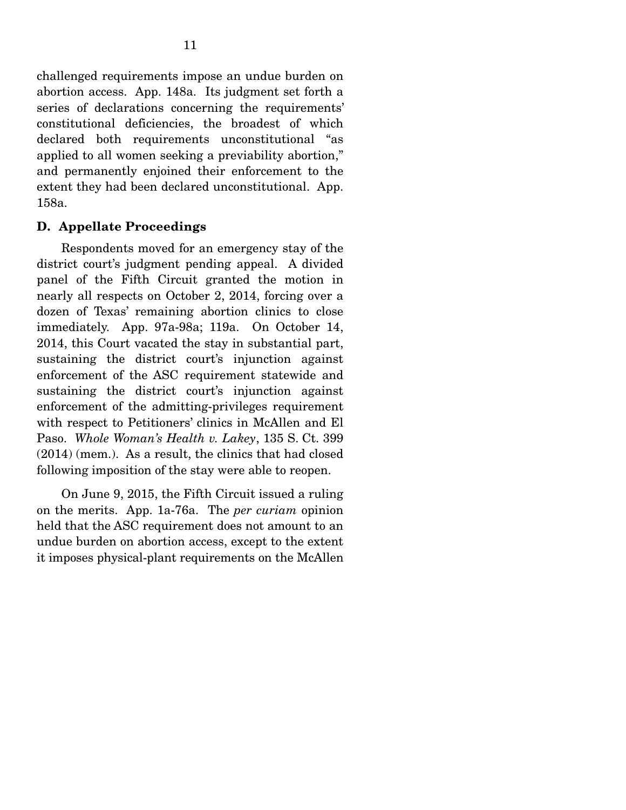challenged requirements impose an undue burden on abortion access. App. 148a. Its judgment set forth a series of declarations concerning the requirements' constitutional deficiencies, the broadest of which declared both requirements unconstitutional "as applied to all women seeking a previability abortion," and permanently enjoined their enforcement to the extent they had been declared unconstitutional. App. 158a.

### **D. Appellate Proceedings**

 Respondents moved for an emergency stay of the district court's judgment pending appeal. A divided panel of the Fifth Circuit granted the motion in nearly all respects on October 2, 2014, forcing over a dozen of Texas' remaining abortion clinics to close immediately. App. 97a-98a; 119a. On October 14, 2014, this Court vacated the stay in substantial part, sustaining the district court's injunction against enforcement of the ASC requirement statewide and sustaining the district court's injunction against enforcement of the admitting-privileges requirement with respect to Petitioners' clinics in McAllen and El Paso. *Whole Woman's Health v. Lakey*, 135 S. Ct. 399 (2014) (mem.). As a result, the clinics that had closed following imposition of the stay were able to reopen.

 On June 9, 2015, the Fifth Circuit issued a ruling on the merits. App. 1a-76a. The *per curiam* opinion held that the ASC requirement does not amount to an undue burden on abortion access, except to the extent it imposes physical-plant requirements on the McAllen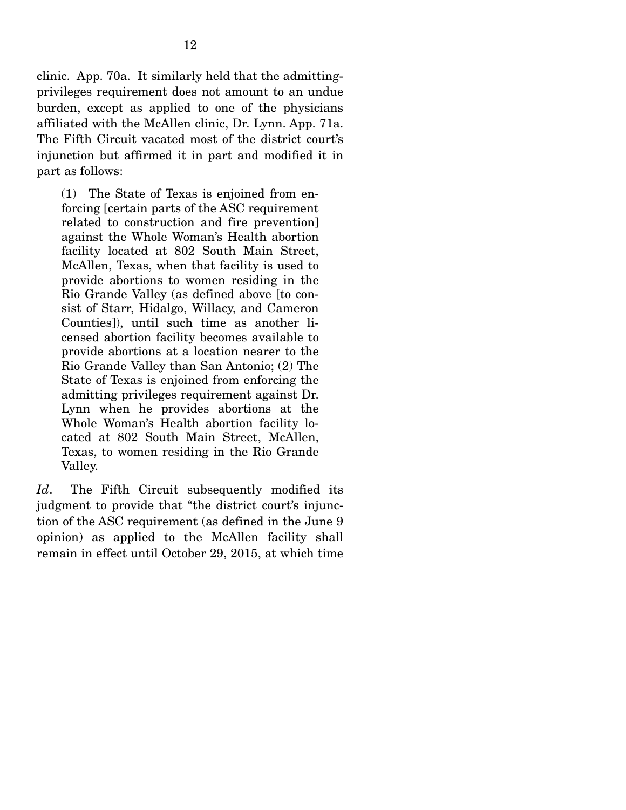clinic. App. 70a. It similarly held that the admittingprivileges requirement does not amount to an undue burden, except as applied to one of the physicians affiliated with the McAllen clinic, Dr. Lynn. App. 71a. The Fifth Circuit vacated most of the district court's injunction but affirmed it in part and modified it in part as follows:

(1) The State of Texas is enjoined from enforcing [certain parts of the ASC requirement related to construction and fire prevention] against the Whole Woman's Health abortion facility located at 802 South Main Street, McAllen, Texas, when that facility is used to provide abortions to women residing in the Rio Grande Valley (as defined above [to consist of Starr, Hidalgo, Willacy, and Cameron Counties]), until such time as another licensed abortion facility becomes available to provide abortions at a location nearer to the Rio Grande Valley than San Antonio; (2) The State of Texas is enjoined from enforcing the admitting privileges requirement against Dr. Lynn when he provides abortions at the Whole Woman's Health abortion facility located at 802 South Main Street, McAllen, Texas, to women residing in the Rio Grande Valley.

*Id*. The Fifth Circuit subsequently modified its judgment to provide that "the district court's injunction of the ASC requirement (as defined in the June 9 opinion) as applied to the McAllen facility shall remain in effect until October 29, 2015, at which time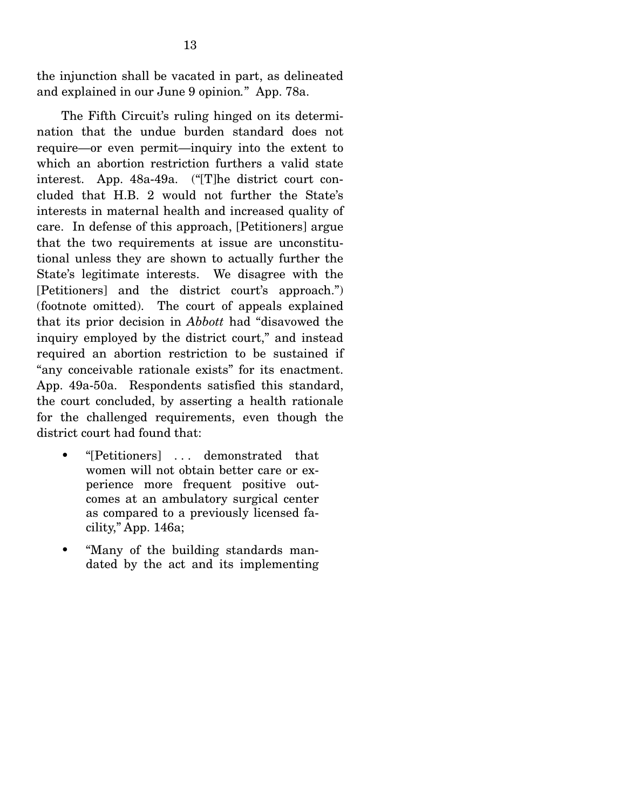the injunction shall be vacated in part, as delineated and explained in our June 9 opinion*.*"App. 78a.

 The Fifth Circuit's ruling hinged on its determination that the undue burden standard does not require—or even permit—inquiry into the extent to which an abortion restriction furthers a valid state interest. App. 48a-49a. ("[T]he district court concluded that H.B. 2 would not further the State's interests in maternal health and increased quality of care. In defense of this approach, [Petitioners] argue that the two requirements at issue are unconstitutional unless they are shown to actually further the State's legitimate interests. We disagree with the [Petitioners] and the district court's approach.") (footnote omitted). The court of appeals explained that its prior decision in *Abbott* had "disavowed the inquiry employed by the district court," and instead required an abortion restriction to be sustained if "any conceivable rationale exists" for its enactment. App. 49a-50a. Respondents satisfied this standard, the court concluded, by asserting a health rationale for the challenged requirements, even though the district court had found that:

- "[Petitioners] ... demonstrated that women will not obtain better care or experience more frequent positive outcomes at an ambulatory surgical center as compared to a previously licensed facility," App. 146a;
- "Many of the building standards mandated by the act and its implementing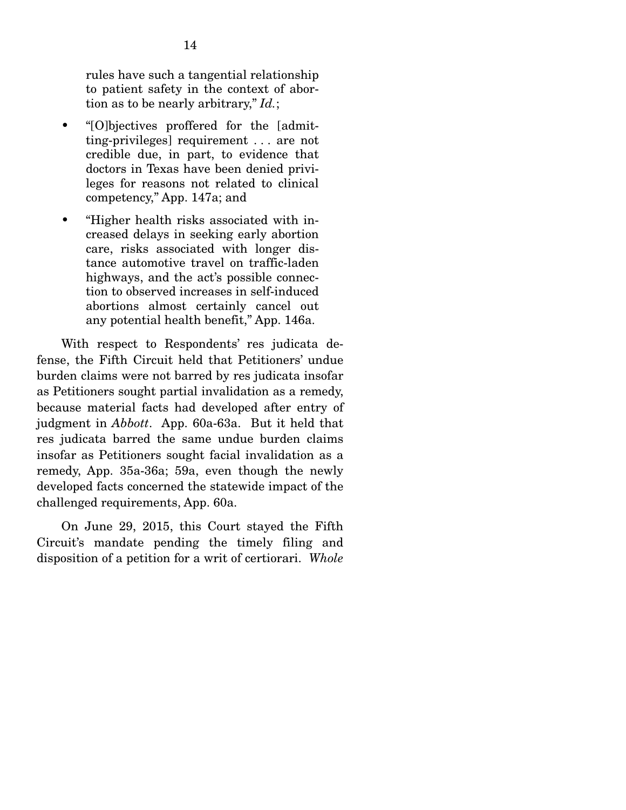rules have such a tangential relationship to patient safety in the context of abortion as to be nearly arbitrary," *Id.*;

- "[O]bjectives proffered for the [admitting-privileges] requirement . . . are not credible due, in part, to evidence that doctors in Texas have been denied privileges for reasons not related to clinical competency," App. 147a; and
- "Higher health risks associated with increased delays in seeking early abortion care, risks associated with longer distance automotive travel on traffic-laden highways, and the act's possible connection to observed increases in self-induced abortions almost certainly cancel out any potential health benefit," App. 146a.

 With respect to Respondents' res judicata defense, the Fifth Circuit held that Petitioners' undue burden claims were not barred by res judicata insofar as Petitioners sought partial invalidation as a remedy, because material facts had developed after entry of judgment in *Abbott*. App. 60a-63a. But it held that res judicata barred the same undue burden claims insofar as Petitioners sought facial invalidation as a remedy, App. 35a-36a; 59a, even though the newly developed facts concerned the statewide impact of the challenged requirements, App. 60a.

 On June 29, 2015, this Court stayed the Fifth Circuit's mandate pending the timely filing and disposition of a petition for a writ of certiorari. *Whole*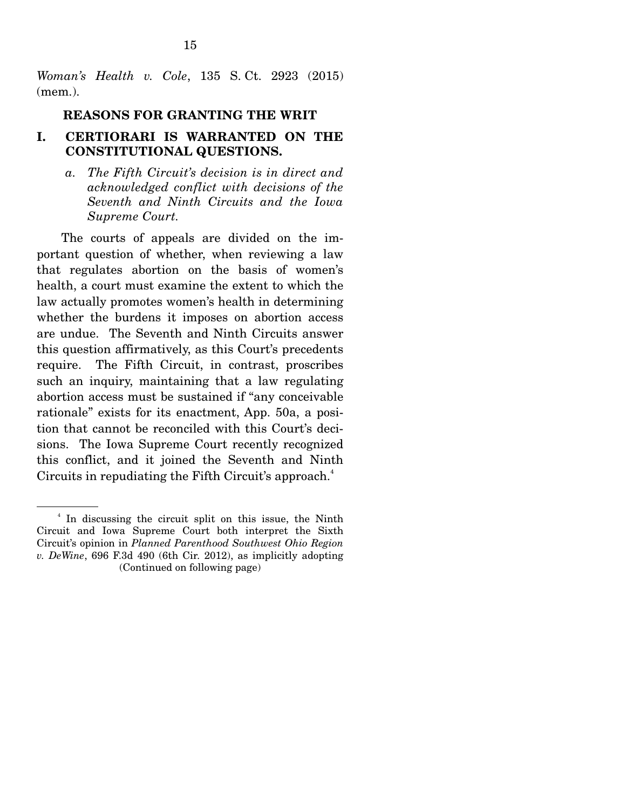*Woman's Health v. Cole*, 135 S. Ct. 2923 (2015) (mem.).

### **REASONS FOR GRANTING THE WRIT**

### **I. CERTIORARI IS WARRANTED ON THE CONSTITUTIONAL QUESTIONS.**

*a. The Fifth Circuit's decision is in direct and acknowledged conflict with decisions of the Seventh and Ninth Circuits and the Iowa Supreme Court.* 

 The courts of appeals are divided on the important question of whether, when reviewing a law that regulates abortion on the basis of women's health, a court must examine the extent to which the law actually promotes women's health in determining whether the burdens it imposes on abortion access are undue. The Seventh and Ninth Circuits answer this question affirmatively, as this Court's precedents require. The Fifth Circuit, in contrast, proscribes such an inquiry, maintaining that a law regulating abortion access must be sustained if "any conceivable rationale" exists for its enactment, App. 50a, a position that cannot be reconciled with this Court's decisions. The Iowa Supreme Court recently recognized this conflict, and it joined the Seventh and Ninth Circuits in repudiating the Fifth Circuit's approach.<sup>4</sup>

<sup>4</sup> In discussing the circuit split on this issue, the Ninth Circuit and Iowa Supreme Court both interpret the Sixth Circuit's opinion in *Planned Parenthood Southwest Ohio Region v. DeWine*, 696 F.3d 490 (6th Cir. 2012), as implicitly adopting (Continued on following page)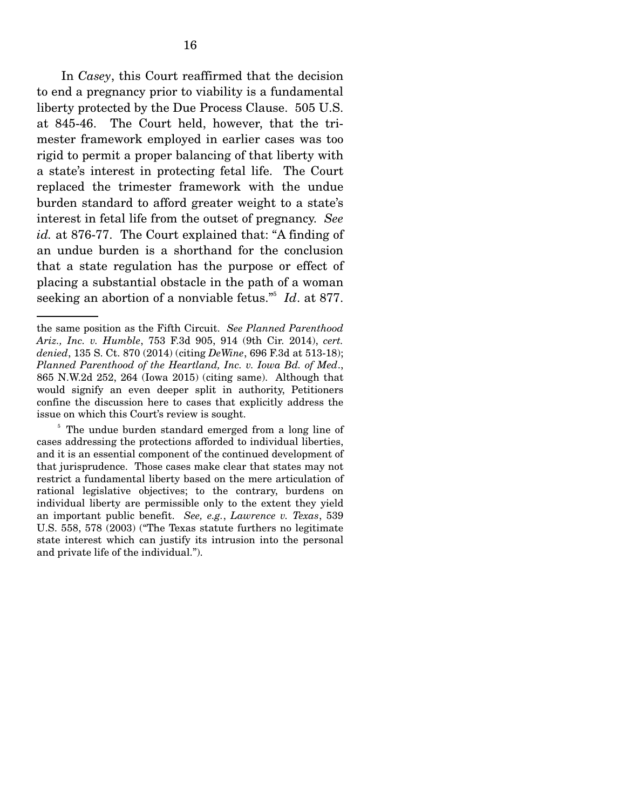In *Casey*, this Court reaffirmed that the decision to end a pregnancy prior to viability is a fundamental liberty protected by the Due Process Clause. 505 U.S. at 845-46. The Court held, however, that the trimester framework employed in earlier cases was too rigid to permit a proper balancing of that liberty with a state's interest in protecting fetal life. The Court replaced the trimester framework with the undue burden standard to afford greater weight to a state's interest in fetal life from the outset of pregnancy. *See id.* at 876-77. The Court explained that: "A finding of an undue burden is a shorthand for the conclusion that a state regulation has the purpose or effect of placing a substantial obstacle in the path of a woman seeking an abortion of a nonviable fetus."5 *Id*. at 877.

the same position as the Fifth Circuit. *See Planned Parenthood Ariz., Inc. v. Humble*, 753 F.3d 905, 914 (9th Cir. 2014), *cert. denied*, 135 S. Ct. 870 (2014) (citing *DeWine*, 696 F.3d at 513-18); *Planned Parenthood of the Heartland, Inc. v. Iowa Bd. of Med*., 865 N.W.2d 252, 264 (Iowa 2015) (citing same). Although that would signify an even deeper split in authority, Petitioners confine the discussion here to cases that explicitly address the issue on which this Court's review is sought.

<sup>&</sup>lt;sup>5</sup> The undue burden standard emerged from a long line of cases addressing the protections afforded to individual liberties, and it is an essential component of the continued development of that jurisprudence. Those cases make clear that states may not restrict a fundamental liberty based on the mere articulation of rational legislative objectives; to the contrary, burdens on individual liberty are permissible only to the extent they yield an important public benefit. *See, e.g.*, *Lawrence v. Texas*, 539 U.S. 558, 578 (2003) ("The Texas statute furthers no legitimate state interest which can justify its intrusion into the personal and private life of the individual.").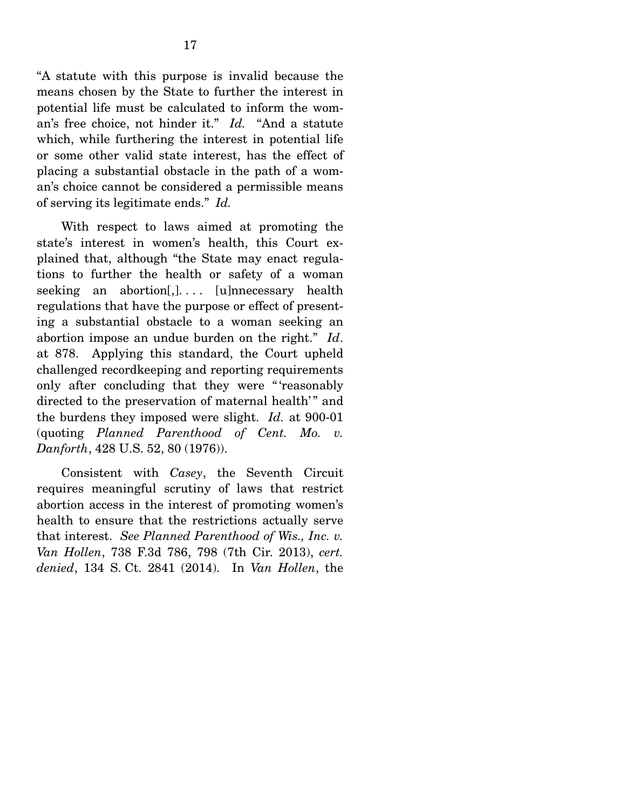"A statute with this purpose is invalid because the means chosen by the State to further the interest in potential life must be calculated to inform the woman's free choice, not hinder it." *Id.* "And a statute which, while furthering the interest in potential life or some other valid state interest, has the effect of placing a substantial obstacle in the path of a woman's choice cannot be considered a permissible means of serving its legitimate ends." *Id.*

 With respect to laws aimed at promoting the state's interest in women's health, this Court explained that, although "the State may enact regulations to further the health or safety of a woman seeking an abortion, $], \ldots$  [u]nnecessary health regulations that have the purpose or effect of presenting a substantial obstacle to a woman seeking an abortion impose an undue burden on the right." *Id*. at 878. Applying this standard, the Court upheld challenged recordkeeping and reporting requirements only after concluding that they were " 'reasonably directed to the preservation of maternal health'" and the burdens they imposed were slight. *Id.* at 900-01 (quoting *Planned Parenthood of Cent. Mo. v. Danforth*, 428 U.S. 52, 80 (1976)).

 Consistent with *Casey*, the Seventh Circuit requires meaningful scrutiny of laws that restrict abortion access in the interest of promoting women's health to ensure that the restrictions actually serve that interest. *See Planned Parenthood of Wis., Inc. v. Van Hollen*, 738 F.3d 786, 798 (7th Cir. 2013), *cert. denied*, 134 S. Ct. 2841 (2014). In *Van Hollen*, the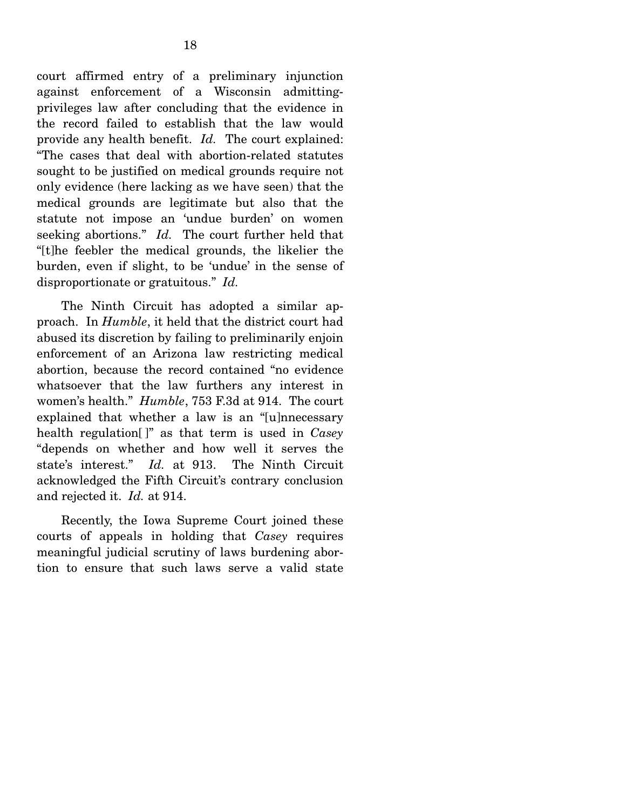court affirmed entry of a preliminary injunction against enforcement of a Wisconsin admittingprivileges law after concluding that the evidence in the record failed to establish that the law would provide any health benefit. *Id.* The court explained: "The cases that deal with abortion-related statutes sought to be justified on medical grounds require not only evidence (here lacking as we have seen) that the medical grounds are legitimate but also that the statute not impose an 'undue burden' on women seeking abortions." *Id.* The court further held that "[t]he feebler the medical grounds, the likelier the burden, even if slight, to be 'undue' in the sense of disproportionate or gratuitous." *Id.*

 The Ninth Circuit has adopted a similar approach. In *Humble*, it held that the district court had abused its discretion by failing to preliminarily enjoin enforcement of an Arizona law restricting medical abortion, because the record contained "no evidence whatsoever that the law furthers any interest in women's health." *Humble*, 753 F.3d at 914. The court explained that whether a law is an "[u]nnecessary health regulation[ ]" as that term is used in *Casey* "depends on whether and how well it serves the state's interest." *Id.* at 913. The Ninth Circuit acknowledged the Fifth Circuit's contrary conclusion and rejected it. *Id.* at 914.

 Recently, the Iowa Supreme Court joined these courts of appeals in holding that *Casey* requires meaningful judicial scrutiny of laws burdening abortion to ensure that such laws serve a valid state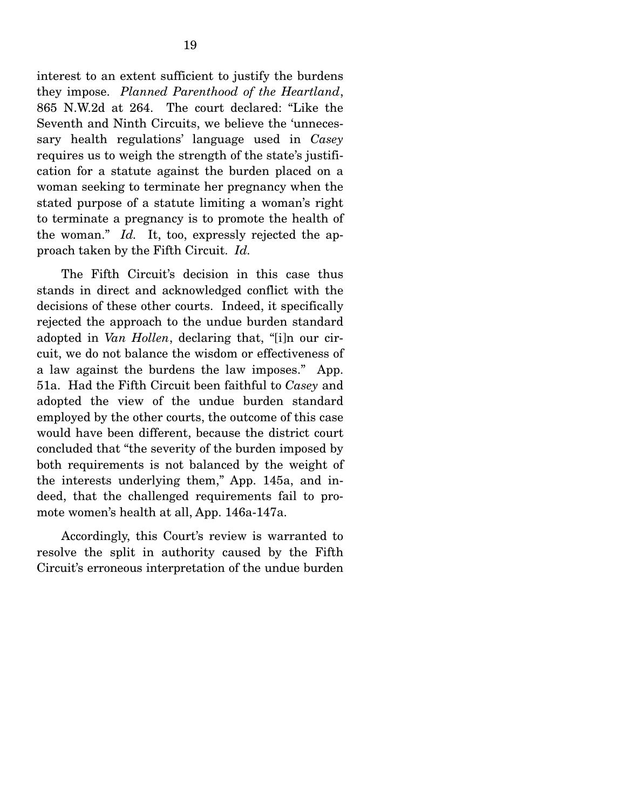interest to an extent sufficient to justify the burdens they impose. *Planned Parenthood of the Heartland*, 865 N.W.2d at 264. The court declared: "Like the Seventh and Ninth Circuits, we believe the 'unnecessary health regulations' language used in *Casey* requires us to weigh the strength of the state's justification for a statute against the burden placed on a woman seeking to terminate her pregnancy when the stated purpose of a statute limiting a woman's right to terminate a pregnancy is to promote the health of the woman." *Id.* It, too, expressly rejected the approach taken by the Fifth Circuit. *Id.*

 The Fifth Circuit's decision in this case thus stands in direct and acknowledged conflict with the decisions of these other courts. Indeed, it specifically rejected the approach to the undue burden standard adopted in *Van Hollen*, declaring that, "[i]n our circuit, we do not balance the wisdom or effectiveness of a law against the burdens the law imposes." App. 51a. Had the Fifth Circuit been faithful to *Casey* and adopted the view of the undue burden standard employed by the other courts, the outcome of this case would have been different, because the district court concluded that "the severity of the burden imposed by both requirements is not balanced by the weight of the interests underlying them," App. 145a, and indeed, that the challenged requirements fail to promote women's health at all, App. 146a-147a.

 Accordingly, this Court's review is warranted to resolve the split in authority caused by the Fifth Circuit's erroneous interpretation of the undue burden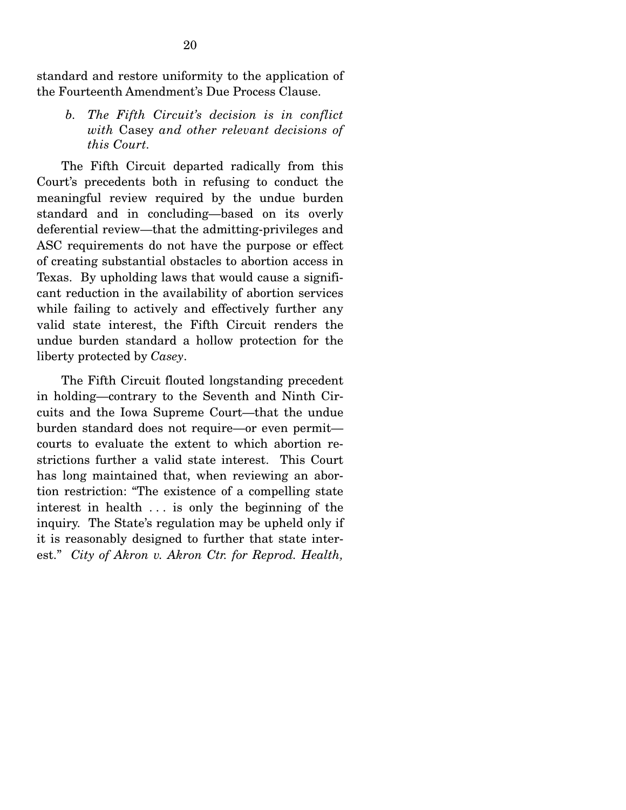standard and restore uniformity to the application of the Fourteenth Amendment's Due Process Clause.

*b. The Fifth Circuit's decision is in conflict with* Casey *and other relevant decisions of this Court.* 

 The Fifth Circuit departed radically from this Court's precedents both in refusing to conduct the meaningful review required by the undue burden standard and in concluding—based on its overly deferential review—that the admitting-privileges and ASC requirements do not have the purpose or effect of creating substantial obstacles to abortion access in Texas. By upholding laws that would cause a significant reduction in the availability of abortion services while failing to actively and effectively further any valid state interest, the Fifth Circuit renders the undue burden standard a hollow protection for the liberty protected by *Casey*.

 The Fifth Circuit flouted longstanding precedent in holding—contrary to the Seventh and Ninth Circuits and the Iowa Supreme Court—that the undue burden standard does not require—or even permit courts to evaluate the extent to which abortion restrictions further a valid state interest. This Court has long maintained that, when reviewing an abortion restriction: "The existence of a compelling state interest in health . . . is only the beginning of the inquiry. The State's regulation may be upheld only if it is reasonably designed to further that state interest." *City of Akron v. Akron Ctr. for Reprod. Health,*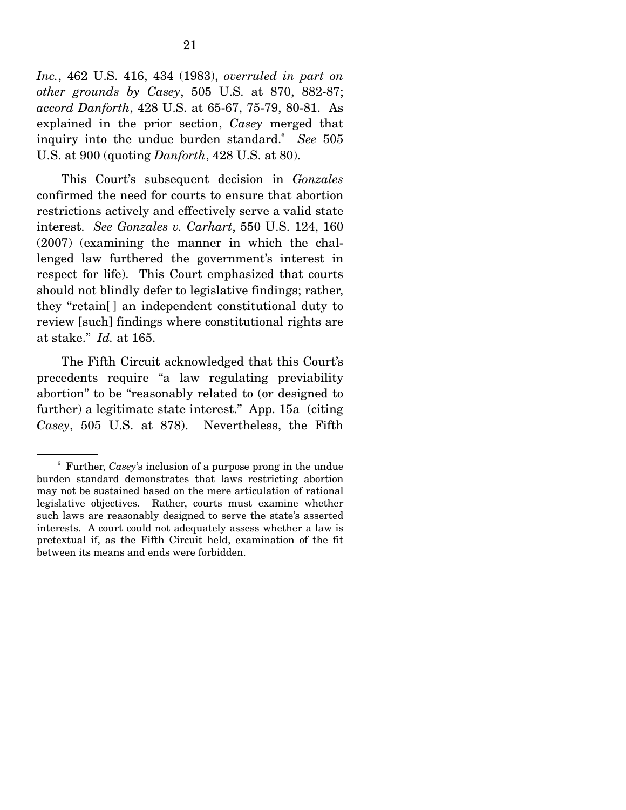*Inc.*, 462 U.S. 416, 434 (1983), *overruled in part on other grounds by Casey*, 505 U.S. at 870, 882-87; *accord Danforth*, 428 U.S. at 65-67, 75-79, 80-81. As explained in the prior section, *Casey* merged that inquiry into the undue burden standard.6 *See* 505 U.S. at 900 (quoting *Danforth*, 428 U.S. at 80).

 This Court's subsequent decision in *Gonzales* confirmed the need for courts to ensure that abortion restrictions actively and effectively serve a valid state interest. *See Gonzales v. Carhart*, 550 U.S. 124, 160 (2007) (examining the manner in which the challenged law furthered the government's interest in respect for life). This Court emphasized that courts should not blindly defer to legislative findings; rather, they "retain[ ] an independent constitutional duty to review [such] findings where constitutional rights are at stake." *Id.* at 165.

 The Fifth Circuit acknowledged that this Court's precedents require "a law regulating previability abortion" to be "reasonably related to (or designed to further) a legitimate state interest." App. 15a (citing *Casey*, 505 U.S. at 878). Nevertheless, the Fifth

<sup>6</sup> Further, *Casey*'s inclusion of a purpose prong in the undue burden standard demonstrates that laws restricting abortion may not be sustained based on the mere articulation of rational legislative objectives. Rather, courts must examine whether such laws are reasonably designed to serve the state's asserted interests. A court could not adequately assess whether a law is pretextual if, as the Fifth Circuit held, examination of the fit between its means and ends were forbidden.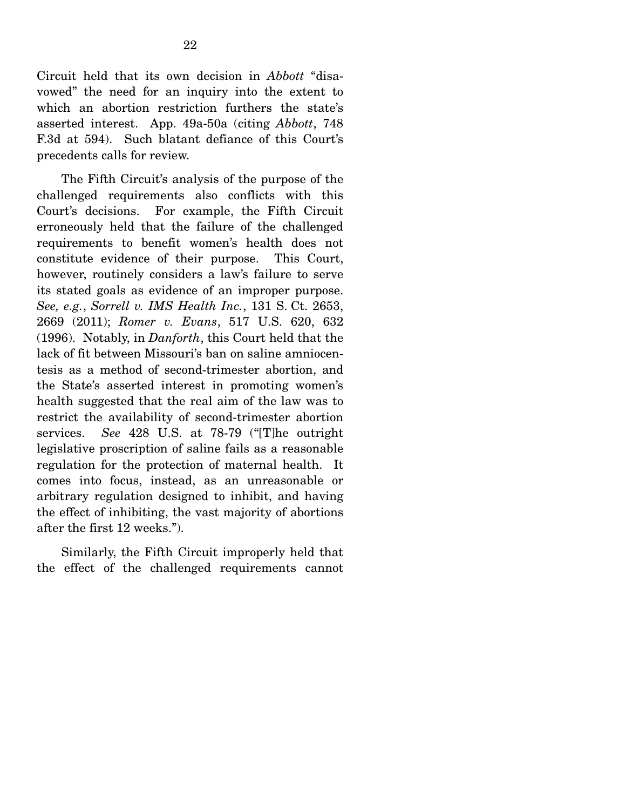Circuit held that its own decision in *Abbott* "disavowed" the need for an inquiry into the extent to which an abortion restriction furthers the state's asserted interest. App. 49a-50a (citing *Abbott*, 748 F.3d at 594). Such blatant defiance of this Court's precedents calls for review.

 The Fifth Circuit's analysis of the purpose of the challenged requirements also conflicts with this Court's decisions. For example, the Fifth Circuit erroneously held that the failure of the challenged requirements to benefit women's health does not constitute evidence of their purpose. This Court, however, routinely considers a law's failure to serve its stated goals as evidence of an improper purpose. *See, e.g.*, *Sorrell v. IMS Health Inc.*, 131 S. Ct. 2653, 2669 (2011); *Romer v. Evans*, 517 U.S. 620, 632 (1996). Notably, in *Danforth*, this Court held that the lack of fit between Missouri's ban on saline amniocentesis as a method of second-trimester abortion, and the State's asserted interest in promoting women's health suggested that the real aim of the law was to restrict the availability of second-trimester abortion services. *See* 428 U.S. at 78-79 ("[T]he outright legislative proscription of saline fails as a reasonable regulation for the protection of maternal health. It comes into focus, instead, as an unreasonable or arbitrary regulation designed to inhibit, and having the effect of inhibiting, the vast majority of abortions after the first 12 weeks.").

 Similarly, the Fifth Circuit improperly held that the effect of the challenged requirements cannot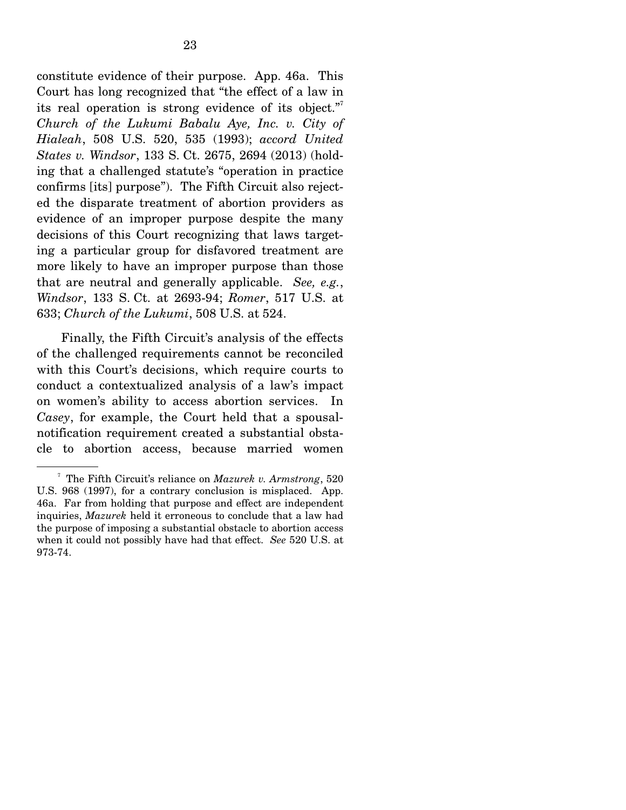constitute evidence of their purpose. App. 46a. This Court has long recognized that "the effect of a law in its real operation is strong evidence of its object."<sup>7</sup> *Church of the Lukumi Babalu Aye, Inc. v. City of Hialeah*, 508 U.S. 520, 535 (1993); *accord United States v. Windsor*, 133 S. Ct. 2675, 2694 (2013) (holding that a challenged statute's "operation in practice confirms [its] purpose"). The Fifth Circuit also rejected the disparate treatment of abortion providers as evidence of an improper purpose despite the many decisions of this Court recognizing that laws targeting a particular group for disfavored treatment are more likely to have an improper purpose than those that are neutral and generally applicable. *See, e.g.*, *Windsor*, 133 S. Ct. at 2693-94; *Romer*, 517 U.S. at 633; *Church of the Lukumi*, 508 U.S. at 524.

 Finally, the Fifth Circuit's analysis of the effects of the challenged requirements cannot be reconciled with this Court's decisions, which require courts to conduct a contextualized analysis of a law's impact on women's ability to access abortion services. In *Casey*, for example, the Court held that a spousalnotification requirement created a substantial obstacle to abortion access, because married women

<sup>7</sup> The Fifth Circuit's reliance on *Mazurek v. Armstrong*, 520 U.S. 968 (1997), for a contrary conclusion is misplaced. App. 46a. Far from holding that purpose and effect are independent inquiries, *Mazurek* held it erroneous to conclude that a law had the purpose of imposing a substantial obstacle to abortion access when it could not possibly have had that effect. *See* 520 U.S. at 973-74.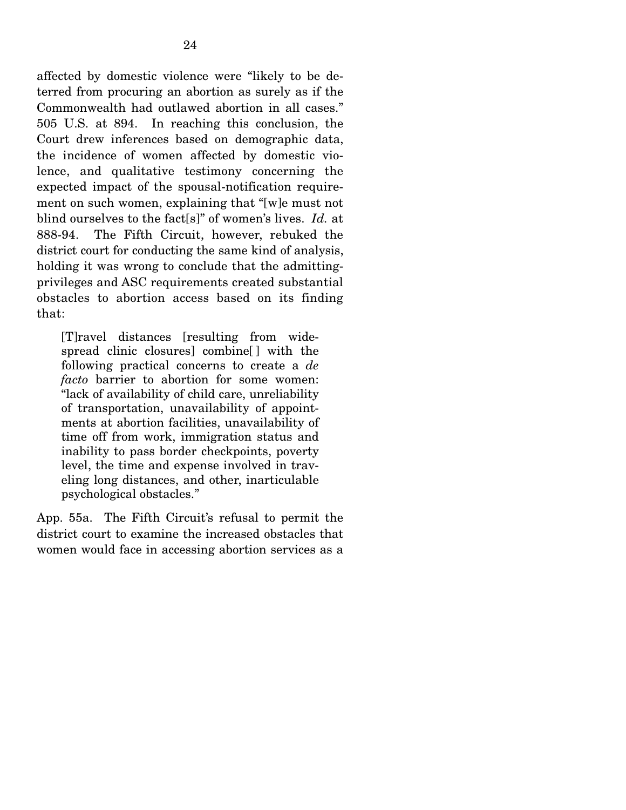affected by domestic violence were "likely to be deterred from procuring an abortion as surely as if the Commonwealth had outlawed abortion in all cases." 505 U.S. at 894. In reaching this conclusion, the Court drew inferences based on demographic data, the incidence of women affected by domestic violence, and qualitative testimony concerning the expected impact of the spousal-notification requirement on such women, explaining that "[w]e must not blind ourselves to the fact[s]" of women's lives. *Id.* at 888-94. The Fifth Circuit, however, rebuked the district court for conducting the same kind of analysis, holding it was wrong to conclude that the admittingprivileges and ASC requirements created substantial obstacles to abortion access based on its finding that:

[T]ravel distances [resulting from widespread clinic closures] combine[ ] with the following practical concerns to create a *de facto* barrier to abortion for some women: "lack of availability of child care, unreliability of transportation, unavailability of appointments at abortion facilities, unavailability of time off from work, immigration status and inability to pass border checkpoints, poverty level, the time and expense involved in traveling long distances, and other, inarticulable psychological obstacles."

App. 55a. The Fifth Circuit's refusal to permit the district court to examine the increased obstacles that women would face in accessing abortion services as a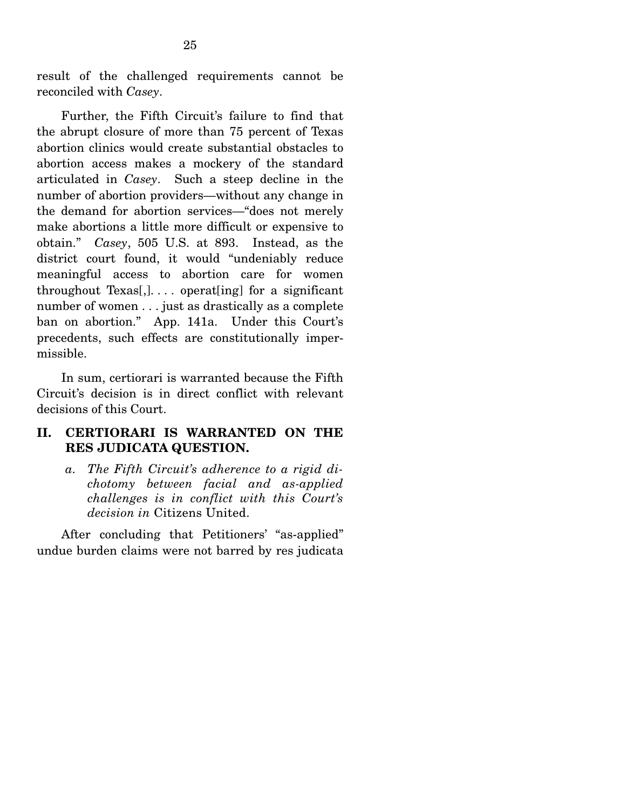result of the challenged requirements cannot be reconciled with *Casey*.

 Further, the Fifth Circuit's failure to find that the abrupt closure of more than 75 percent of Texas abortion clinics would create substantial obstacles to abortion access makes a mockery of the standard articulated in *Casey*. Such a steep decline in the number of abortion providers—without any change in the demand for abortion services—"does not merely make abortions a little more difficult or expensive to obtain." *Casey*, 505 U.S. at 893. Instead, as the district court found, it would "undeniably reduce meaningful access to abortion care for women throughout  $Texas[,]$ ... operat[ing] for a significant number of women . . . just as drastically as a complete ban on abortion." App. 141a. Under this Court's precedents, such effects are constitutionally impermissible.

 In sum, certiorari is warranted because the Fifth Circuit's decision is in direct conflict with relevant decisions of this Court.

## **II. CERTIORARI IS WARRANTED ON THE RES JUDICATA QUESTION.**

*a. The Fifth Circuit's adherence to a rigid dichotomy between facial and as-applied challenges is in conflict with this Court's decision in* Citizens United.

 After concluding that Petitioners' "as-applied" undue burden claims were not barred by res judicata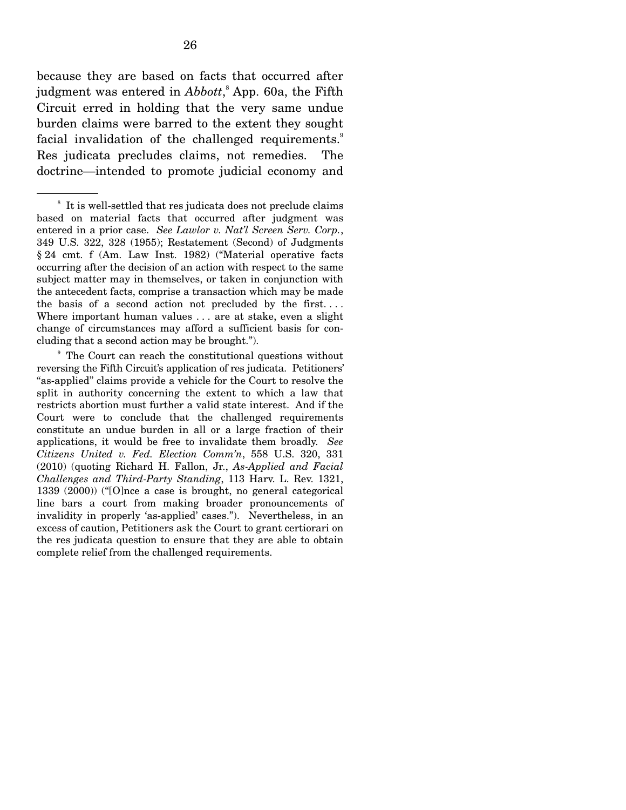because they are based on facts that occurred after judgment was entered in *Abbott*,<sup>8</sup> App. 60a, the Fifth Circuit erred in holding that the very same undue burden claims were barred to the extent they sought facial invalidation of the challenged requirements.<sup>9</sup> Res judicata precludes claims, not remedies. The doctrine—intended to promote judicial economy and

<sup>8</sup> It is well-settled that res judicata does not preclude claims based on material facts that occurred after judgment was entered in a prior case. *See Lawlor v. Nat'l Screen Serv. Corp.*, 349 U.S. 322, 328 (1955); Restatement (Second) of Judgments § 24 cmt. f (Am. Law Inst. 1982) ("Material operative facts occurring after the decision of an action with respect to the same subject matter may in themselves, or taken in conjunction with the antecedent facts, comprise a transaction which may be made the basis of a second action not precluded by the first. . . . Where important human values . . . are at stake, even a slight change of circumstances may afford a sufficient basis for concluding that a second action may be brought.").

<sup>9</sup> The Court can reach the constitutional questions without reversing the Fifth Circuit's application of res judicata. Petitioners' "as-applied" claims provide a vehicle for the Court to resolve the split in authority concerning the extent to which a law that restricts abortion must further a valid state interest. And if the Court were to conclude that the challenged requirements constitute an undue burden in all or a large fraction of their applications, it would be free to invalidate them broadly. *See Citizens United v. Fed. Election Comm'n*, 558 U.S. 320, 331 (2010) (quoting Richard H. Fallon, Jr., *As-Applied and Facial Challenges and Third-Party Standing*, 113 Harv. L. Rev. 1321, 1339 (2000)) ("[O]nce a case is brought, no general categorical line bars a court from making broader pronouncements of invalidity in properly 'as-applied' cases."). Nevertheless, in an excess of caution, Petitioners ask the Court to grant certiorari on the res judicata question to ensure that they are able to obtain complete relief from the challenged requirements.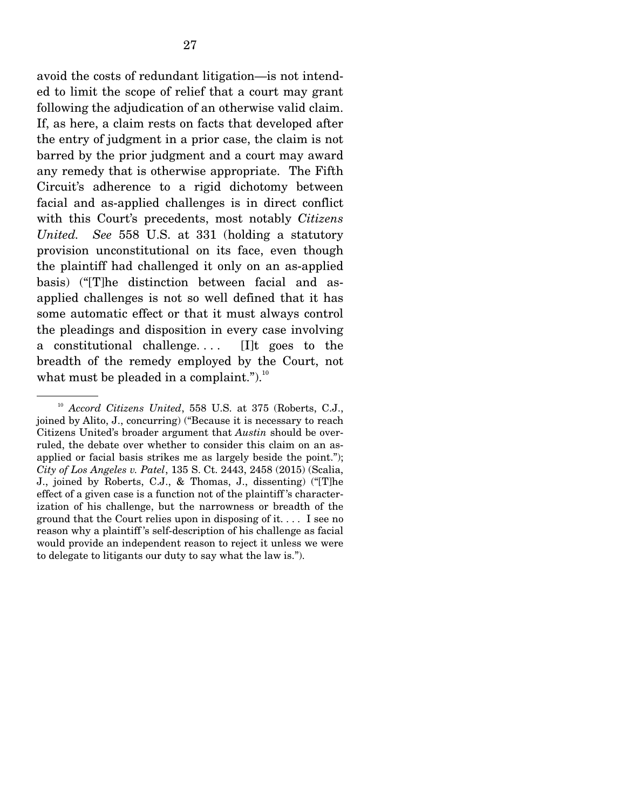avoid the costs of redundant litigation—is not intended to limit the scope of relief that a court may grant following the adjudication of an otherwise valid claim. If, as here, a claim rests on facts that developed after the entry of judgment in a prior case, the claim is not barred by the prior judgment and a court may award any remedy that is otherwise appropriate. The Fifth Circuit's adherence to a rigid dichotomy between facial and as-applied challenges is in direct conflict with this Court's precedents, most notably *Citizens United. See* 558 U.S. at 331 (holding a statutory provision unconstitutional on its face, even though the plaintiff had challenged it only on an as-applied basis) ("[T]he distinction between facial and asapplied challenges is not so well defined that it has some automatic effect or that it must always control the pleadings and disposition in every case involving a constitutional challenge....  $[I]$ t goes to the breadth of the remedy employed by the Court, not what must be pleaded in a complaint.").<sup>10</sup>

<sup>10</sup> *Accord Citizens United*, 558 U.S. at 375 (Roberts, C.J., joined by Alito, J., concurring) ("Because it is necessary to reach Citizens United's broader argument that *Austin* should be overruled, the debate over whether to consider this claim on an asapplied or facial basis strikes me as largely beside the point."); *City of Los Angeles v. Patel*, 135 S. Ct. 2443, 2458 (2015) (Scalia, J., joined by Roberts, C.J., & Thomas, J., dissenting) ("[T]he effect of a given case is a function not of the plaintiff 's characterization of his challenge, but the narrowness or breadth of the ground that the Court relies upon in disposing of it. . . . I see no reason why a plaintiff 's self-description of his challenge as facial would provide an independent reason to reject it unless we were to delegate to litigants our duty to say what the law is.").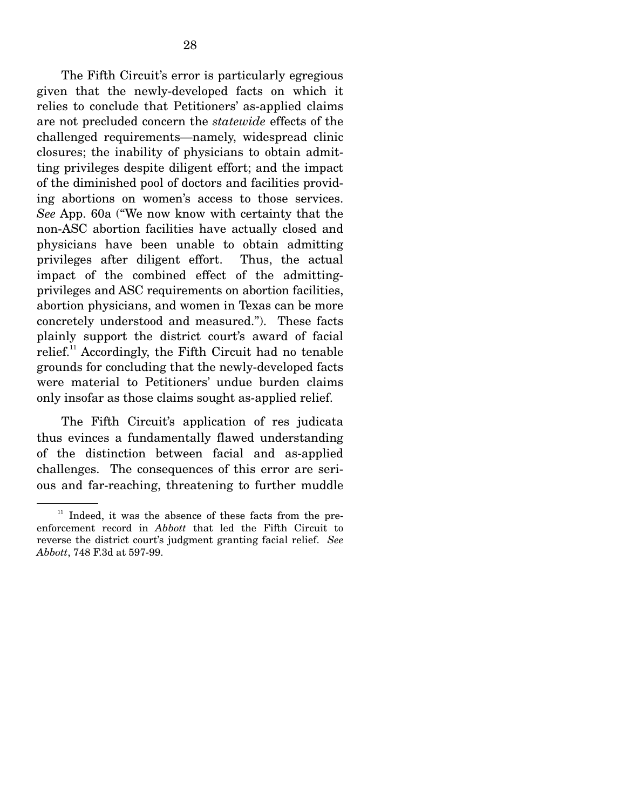The Fifth Circuit's error is particularly egregious given that the newly-developed facts on which it relies to conclude that Petitioners' as-applied claims are not precluded concern the *statewide* effects of the challenged requirements—namely, widespread clinic closures; the inability of physicians to obtain admitting privileges despite diligent effort; and the impact of the diminished pool of doctors and facilities providing abortions on women's access to those services. *See* App. 60a ("We now know with certainty that the non-ASC abortion facilities have actually closed and physicians have been unable to obtain admitting privileges after diligent effort. Thus, the actual impact of the combined effect of the admittingprivileges and ASC requirements on abortion facilities, abortion physicians, and women in Texas can be more concretely understood and measured."). These facts plainly support the district court's award of facial relief.<sup>11</sup> Accordingly, the Fifth Circuit had no tenable grounds for concluding that the newly-developed facts were material to Petitioners' undue burden claims only insofar as those claims sought as-applied relief.

 The Fifth Circuit's application of res judicata thus evinces a fundamentally flawed understanding of the distinction between facial and as-applied challenges. The consequences of this error are serious and far-reaching, threatening to further muddle

 $11$  Indeed, it was the absence of these facts from the preenforcement record in *Abbott* that led the Fifth Circuit to reverse the district court's judgment granting facial relief. *See Abbott*, 748 F.3d at 597-99.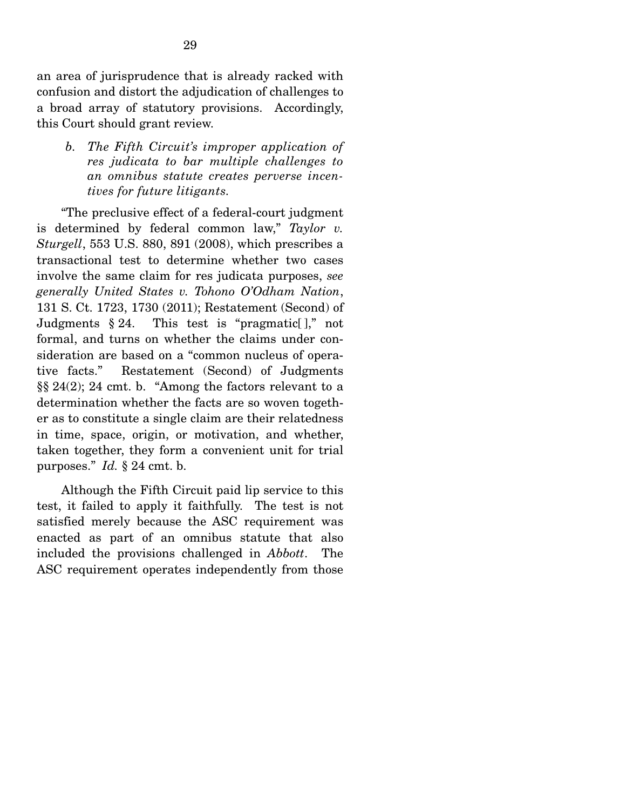an area of jurisprudence that is already racked with confusion and distort the adjudication of challenges to a broad array of statutory provisions. Accordingly, this Court should grant review.

*b. The Fifth Circuit's improper application of res judicata to bar multiple challenges to an omnibus statute creates perverse incentives for future litigants.* 

 "The preclusive effect of a federal-court judgment is determined by federal common law," *Taylor v. Sturgell*, 553 U.S. 880, 891 (2008), which prescribes a transactional test to determine whether two cases involve the same claim for res judicata purposes, *see generally United States v. Tohono O'Odham Nation*, 131 S. Ct. 1723, 1730 (2011); Restatement (Second) of Judgments  $\S 24$ . This test is "pragmatic[]," not formal, and turns on whether the claims under consideration are based on a "common nucleus of operative facts." Restatement (Second) of Judgments §§ 24(2); 24 cmt. b. "Among the factors relevant to a determination whether the facts are so woven together as to constitute a single claim are their relatedness in time, space, origin, or motivation, and whether, taken together, they form a convenient unit for trial purposes." *Id.* § 24 cmt. b.

 Although the Fifth Circuit paid lip service to this test, it failed to apply it faithfully. The test is not satisfied merely because the ASC requirement was enacted as part of an omnibus statute that also included the provisions challenged in *Abbott*. The ASC requirement operates independently from those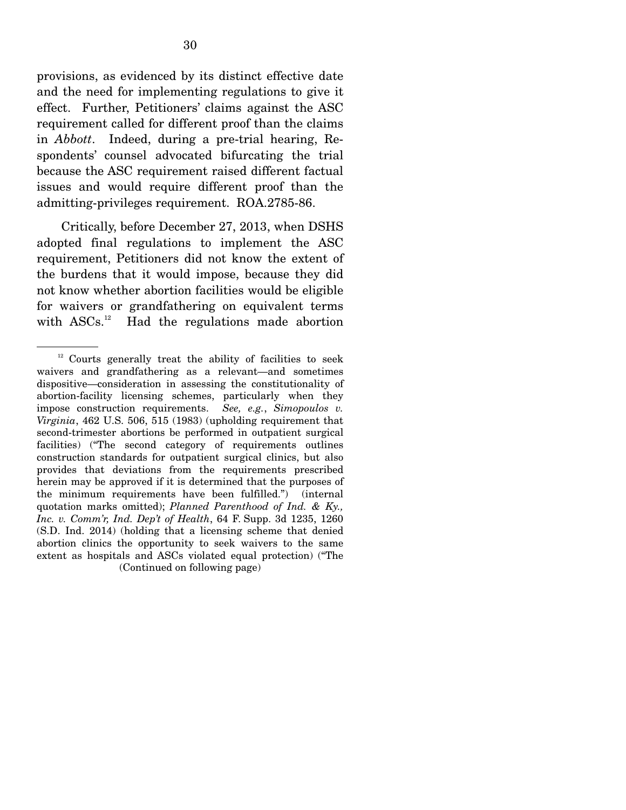provisions, as evidenced by its distinct effective date and the need for implementing regulations to give it effect. Further, Petitioners' claims against the ASC requirement called for different proof than the claims in *Abbott*. Indeed, during a pre-trial hearing, Respondents' counsel advocated bifurcating the trial because the ASC requirement raised different factual issues and would require different proof than the admitting-privileges requirement. ROA.2785-86.

 Critically, before December 27, 2013, when DSHS adopted final regulations to implement the ASC requirement, Petitioners did not know the extent of the burdens that it would impose, because they did not know whether abortion facilities would be eligible for waivers or grandfathering on equivalent terms with ASCs.<sup>12</sup> Had the regulations made abortion

 $12$  Courts generally treat the ability of facilities to seek waivers and grandfathering as a relevant—and sometimes dispositive—consideration in assessing the constitutionality of abortion-facility licensing schemes, particularly when they impose construction requirements. *See, e.g.*, *Simopoulos v. Virginia*, 462 U.S. 506, 515 (1983) (upholding requirement that second-trimester abortions be performed in outpatient surgical facilities) ("The second category of requirements outlines construction standards for outpatient surgical clinics, but also provides that deviations from the requirements prescribed herein may be approved if it is determined that the purposes of the minimum requirements have been fulfilled.") (internal quotation marks omitted); *Planned Parenthood of Ind. & Ky., Inc. v. Comm'r, Ind. Dep't of Health*, 64 F. Supp. 3d 1235, 1260 (S.D. Ind. 2014) (holding that a licensing scheme that denied abortion clinics the opportunity to seek waivers to the same extent as hospitals and ASCs violated equal protection) ("The (Continued on following page)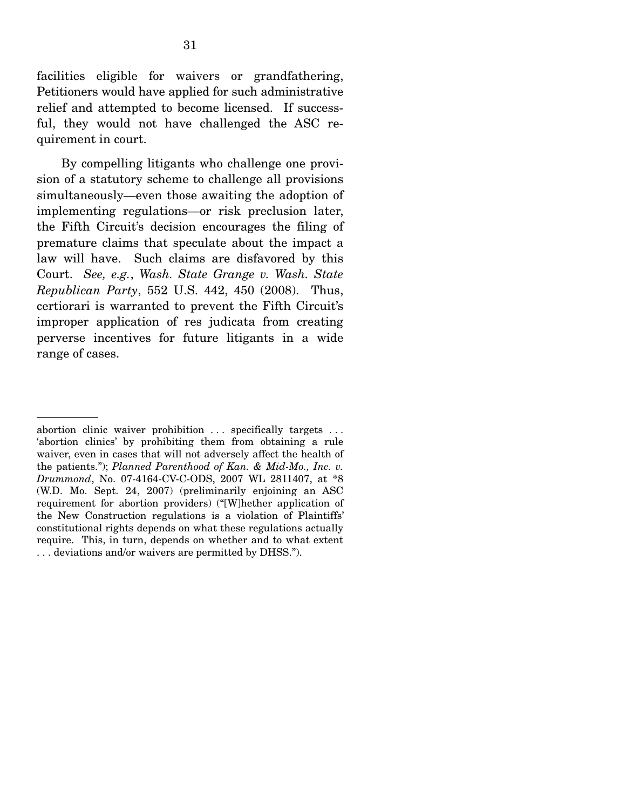facilities eligible for waivers or grandfathering, Petitioners would have applied for such administrative relief and attempted to become licensed. If successful, they would not have challenged the ASC requirement in court.

 By compelling litigants who challenge one provision of a statutory scheme to challenge all provisions simultaneously—even those awaiting the adoption of implementing regulations—or risk preclusion later, the Fifth Circuit's decision encourages the filing of premature claims that speculate about the impact a law will have. Such claims are disfavored by this Court. *See, e.g.*, *Wash. State Grange v. Wash. State Republican Party*, 552 U.S. 442, 450 (2008). Thus, certiorari is warranted to prevent the Fifth Circuit's improper application of res judicata from creating perverse incentives for future litigants in a wide range of cases.

abortion clinic waiver prohibition ... specifically targets ... 'abortion clinics' by prohibiting them from obtaining a rule waiver, even in cases that will not adversely affect the health of the patients."); *Planned Parenthood of Kan. & Mid-Mo., Inc. v. Drummond*, No. 07-4164-CV-C-ODS, 2007 WL 2811407, at \*8 (W.D. Mo. Sept. 24, 2007) (preliminarily enjoining an ASC requirement for abortion providers) ("[W]hether application of the New Construction regulations is a violation of Plaintiffs' constitutional rights depends on what these regulations actually require. This, in turn, depends on whether and to what extent . . . deviations and/or waivers are permitted by DHSS.").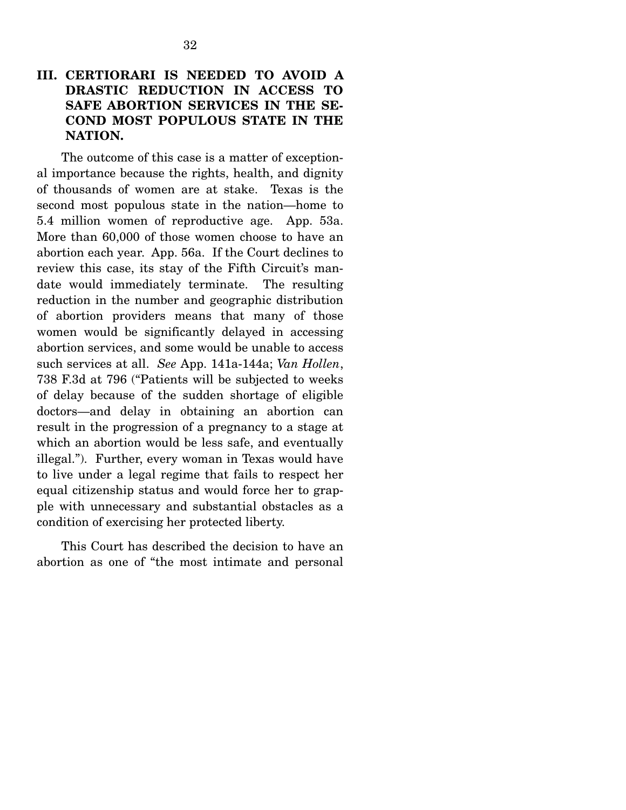## **III. CERTIORARI IS NEEDED TO AVOID A DRASTIC REDUCTION IN ACCESS TO SAFE ABORTION SERVICES IN THE SE-COND MOST POPULOUS STATE IN THE NATION.**

 The outcome of this case is a matter of exceptional importance because the rights, health, and dignity of thousands of women are at stake. Texas is the second most populous state in the nation—home to 5.4 million women of reproductive age. App. 53a. More than 60,000 of those women choose to have an abortion each year. App. 56a. If the Court declines to review this case, its stay of the Fifth Circuit's mandate would immediately terminate. The resulting reduction in the number and geographic distribution of abortion providers means that many of those women would be significantly delayed in accessing abortion services, and some would be unable to access such services at all. *See* App. 141a-144a; *Van Hollen*, 738 F.3d at 796 ("Patients will be subjected to weeks of delay because of the sudden shortage of eligible doctors—and delay in obtaining an abortion can result in the progression of a pregnancy to a stage at which an abortion would be less safe, and eventually illegal."). Further, every woman in Texas would have to live under a legal regime that fails to respect her equal citizenship status and would force her to grapple with unnecessary and substantial obstacles as a condition of exercising her protected liberty.

 This Court has described the decision to have an abortion as one of "the most intimate and personal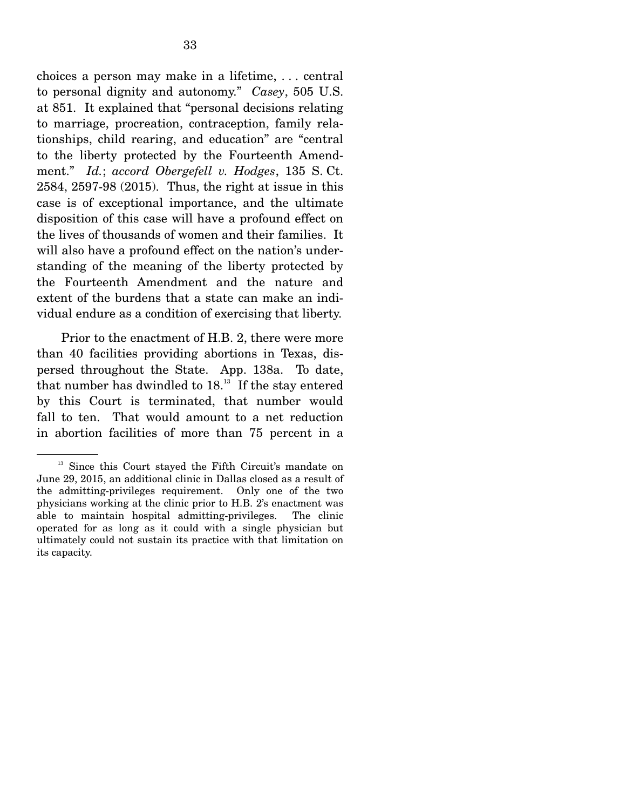choices a person may make in a lifetime, . . . central to personal dignity and autonomy." *Casey*, 505 U.S. at 851. It explained that "personal decisions relating to marriage, procreation, contraception, family relationships, child rearing, and education" are "central to the liberty protected by the Fourteenth Amendment." *Id.*; *accord Obergefell v. Hodges*, 135 S. Ct. 2584, 2597-98 (2015). Thus, the right at issue in this case is of exceptional importance, and the ultimate disposition of this case will have a profound effect on the lives of thousands of women and their families. It will also have a profound effect on the nation's understanding of the meaning of the liberty protected by the Fourteenth Amendment and the nature and extent of the burdens that a state can make an individual endure as a condition of exercising that liberty.

 Prior to the enactment of H.B. 2, there were more than 40 facilities providing abortions in Texas, dispersed throughout the State. App. 138a. To date, that number has dwindled to  $18<sup>13</sup>$ . If the stay entered by this Court is terminated, that number would fall to ten. That would amount to a net reduction in abortion facilities of more than 75 percent in a

<sup>&</sup>lt;sup>13</sup> Since this Court stayed the Fifth Circuit's mandate on June 29, 2015, an additional clinic in Dallas closed as a result of the admitting-privileges requirement. Only one of the two physicians working at the clinic prior to H.B. 2's enactment was able to maintain hospital admitting-privileges. The clinic operated for as long as it could with a single physician but ultimately could not sustain its practice with that limitation on its capacity.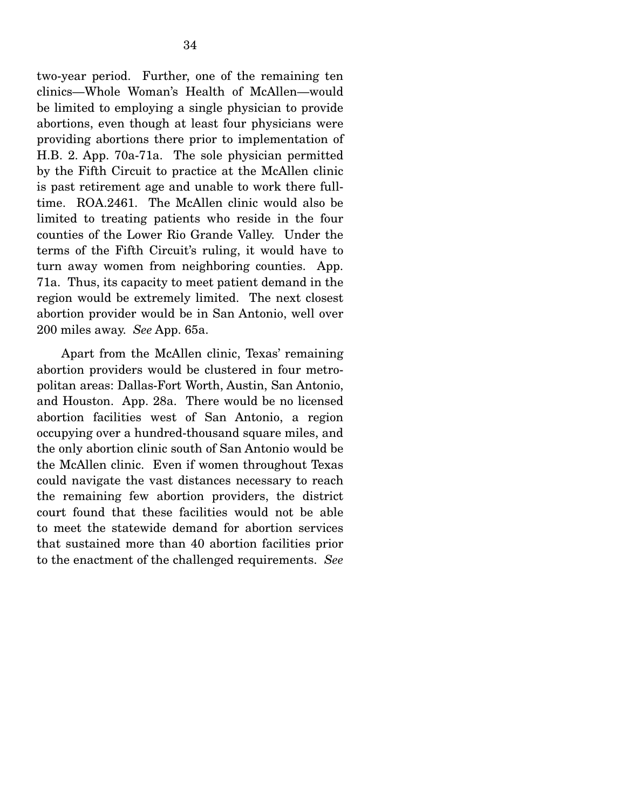two-year period. Further, one of the remaining ten clinics—Whole Woman's Health of McAllen—would be limited to employing a single physician to provide abortions, even though at least four physicians were providing abortions there prior to implementation of H.B. 2. App. 70a-71a. The sole physician permitted by the Fifth Circuit to practice at the McAllen clinic is past retirement age and unable to work there fulltime. ROA.2461. The McAllen clinic would also be limited to treating patients who reside in the four counties of the Lower Rio Grande Valley. Under the terms of the Fifth Circuit's ruling, it would have to turn away women from neighboring counties. App. 71a. Thus, its capacity to meet patient demand in the region would be extremely limited. The next closest abortion provider would be in San Antonio, well over 200 miles away. *See* App. 65a.

 Apart from the McAllen clinic, Texas' remaining abortion providers would be clustered in four metropolitan areas: Dallas-Fort Worth, Austin, San Antonio, and Houston. App. 28a. There would be no licensed abortion facilities west of San Antonio, a region occupying over a hundred-thousand square miles, and the only abortion clinic south of San Antonio would be the McAllen clinic. Even if women throughout Texas could navigate the vast distances necessary to reach the remaining few abortion providers, the district court found that these facilities would not be able to meet the statewide demand for abortion services that sustained more than 40 abortion facilities prior to the enactment of the challenged requirements. *See*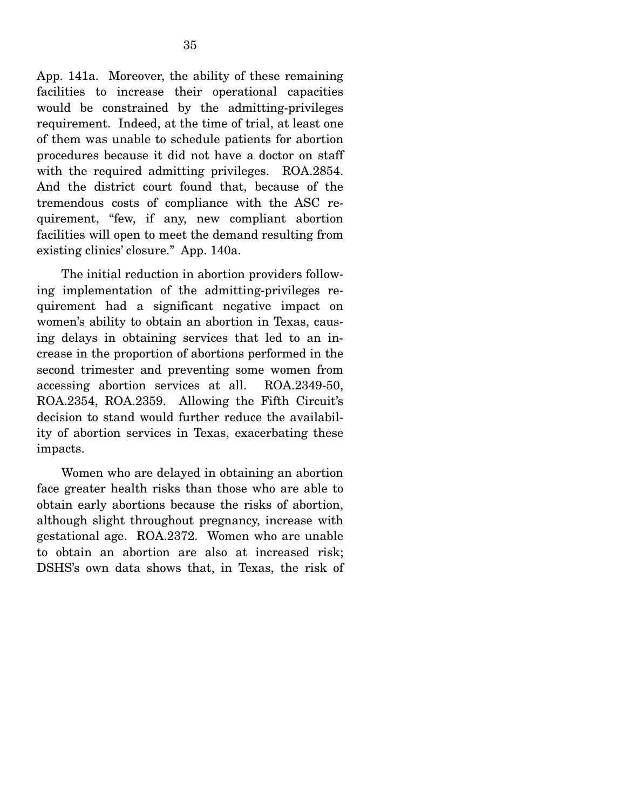App. 141a. Moreover, the ability of these remaining facilities to increase their operational capacities would be constrained by the admitting-privileges requirement. Indeed, at the time of trial, at least one of them was unable to schedule patients for abortion procedures because it did not have a doctor on staff with the required admitting privileges. ROA.2854. And the district court found that, because of the tremendous costs of compliance with the ASC requirement, "few, if any, new compliant abortion facilities will open to meet the demand resulting from existing clinics' closure." App. 140a.

 The initial reduction in abortion providers following implementation of the admitting-privileges requirement had a significant negative impact on women's ability to obtain an abortion in Texas, causing delays in obtaining services that led to an increase in the proportion of abortions performed in the second trimester and preventing some women from accessing abortion services at all. ROA.2349-50, ROA.2354, ROA.2359. Allowing the Fifth Circuit's decision to stand would further reduce the availability of abortion services in Texas, exacerbating these impacts.

 Women who are delayed in obtaining an abortion face greater health risks than those who are able to obtain early abortions because the risks of abortion, although slight throughout pregnancy, increase with gestational age. ROA.2372. Women who are unable to obtain an abortion are also at increased risk; DSHS's own data shows that, in Texas, the risk of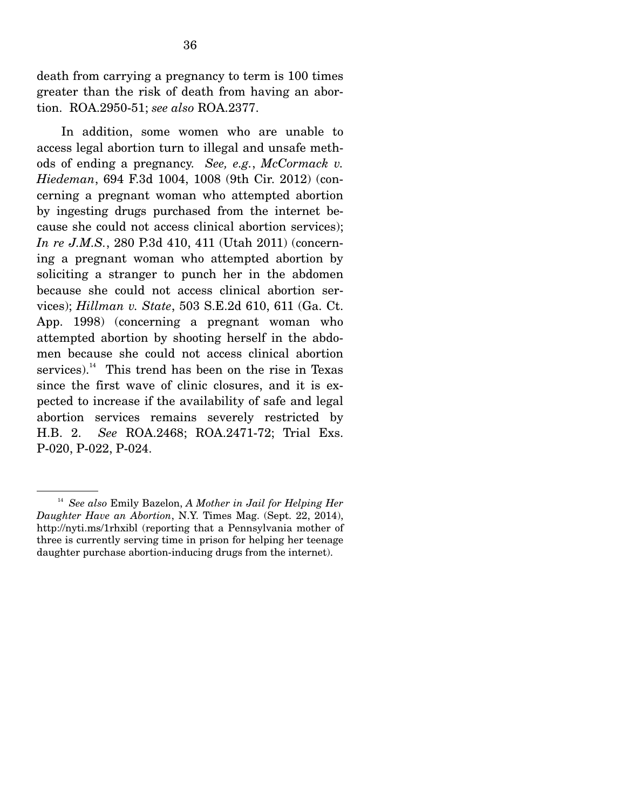death from carrying a pregnancy to term is 100 times greater than the risk of death from having an abortion. ROA.2950-51; *see also* ROA.2377.

 In addition, some women who are unable to access legal abortion turn to illegal and unsafe methods of ending a pregnancy. *See, e.g.*, *McCormack v. Hiedeman*, 694 F.3d 1004, 1008 (9th Cir. 2012) (concerning a pregnant woman who attempted abortion by ingesting drugs purchased from the internet because she could not access clinical abortion services); *In re J.M.S.*, 280 P.3d 410, 411 (Utah 2011) (concerning a pregnant woman who attempted abortion by soliciting a stranger to punch her in the abdomen because she could not access clinical abortion services); *Hillman v. State*, 503 S.E.2d 610, 611 (Ga. Ct. App. 1998) (concerning a pregnant woman who attempted abortion by shooting herself in the abdomen because she could not access clinical abortion services). $14$  This trend has been on the rise in Texas since the first wave of clinic closures, and it is expected to increase if the availability of safe and legal abortion services remains severely restricted by H.B. 2. *See* ROA.2468; ROA.2471-72; Trial Exs. P-020, P-022, P-024.

<sup>14</sup> *See also* Emily Bazelon, *A Mother in Jail for Helping Her Daughter Have an Abortion*, N.Y. Times Mag. (Sept. 22, 2014), http://nyti.ms/1rhxibl (reporting that a Pennsylvania mother of three is currently serving time in prison for helping her teenage daughter purchase abortion-inducing drugs from the internet).